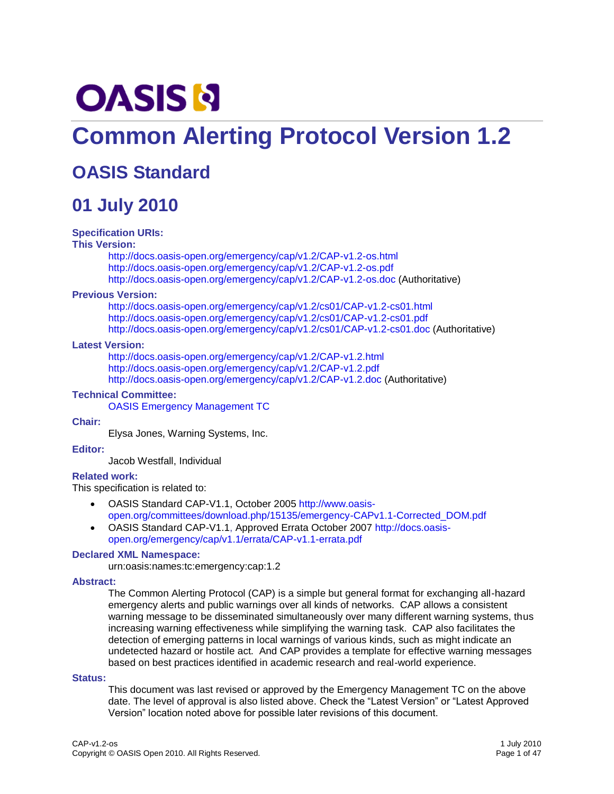# **OASIS N**

# **Common Alerting Protocol Version 1.2**

# **OASIS Standard**

# **01 July 2010**

#### **Specification URIs:**

#### **This Version:**

<http://docs.oasis-open.org/emergency/cap/v1.2/CAP-v1.2-os.html> <http://docs.oasis-open.org/emergency/cap/v1.2/CAP-v1.2-os.pdf> <http://docs.oasis-open.org/emergency/cap/v1.2/CAP-v1.2-os.doc> (Authoritative)

#### **Previous Version:**

<http://docs.oasis-open.org/emergency/cap/v1.2/cs01/CAP-v1.2-cs01.html> <http://docs.oasis-open.org/emergency/cap/v1.2/cs01/CAP-v1.2-cs01.pdf> <http://docs.oasis-open.org/emergency/cap/v1.2/cs01/CAP-v1.2-cs01.doc> (Authoritative)

#### **Latest Version:**

<http://docs.oasis-open.org/emergency/cap/v1.2/CAP-v1.2.html> <http://docs.oasis-open.org/emergency/cap/v1.2/CAP-v1.2.pdf> <http://docs.oasis-open.org/emergency/cap/v1.2/CAP-v1.2.doc> (Authoritative)

#### **Technical Committee:**

[OASIS Emergency Management TC](http://www.oasis-open.org/committees/emergency)

#### **Chair:**

Elysa Jones, Warning Systems, Inc.

#### **Editor:**

Jacob Westfall, Individual

#### **Related work:**

This specification is related to:

- OASIS Standard CAP-V1.1, October 2005 [http://www.oasis](http://www.oasis-open.org/committees/download.php/15135/emergency-CAPv1.1-Corrected_DOM.pdf)[open.org/committees/download.php/15135/emergency-CAPv1.1-Corrected\\_DOM.pdf](http://www.oasis-open.org/committees/download.php/15135/emergency-CAPv1.1-Corrected_DOM.pdf)
- OASIS Standard CAP-V1.1, Approved Errata October 200[7 http://docs.oasis](http://docs.oasis-open.org/emergency/cap/v1.1/errata/CAP-v1.1-errata.pdf)[open.org/emergency/cap/v1.1/errata/CAP-v1.1-errata.pdf](http://docs.oasis-open.org/emergency/cap/v1.1/errata/CAP-v1.1-errata.pdf)

#### **Declared XML Namespace:**

urn:oasis:names:tc:emergency:cap:1.2

#### **Abstract:**

The Common Alerting Protocol (CAP) is a simple but general format for exchanging all-hazard emergency alerts and public warnings over all kinds of networks. CAP allows a consistent warning message to be disseminated simultaneously over many different warning systems, thus increasing warning effectiveness while simplifying the warning task. CAP also facilitates the detection of emerging patterns in local warnings of various kinds, such as might indicate an undetected hazard or hostile act. And CAP provides a template for effective warning messages based on best practices identified in academic research and real-world experience.

#### **Status:**

This document was last revised or approved by the Emergency Management TC on the above date. The level of approval is also listed above. Check the "Latest Version" or "Latest Approved Version" location noted above for possible later revisions of this document.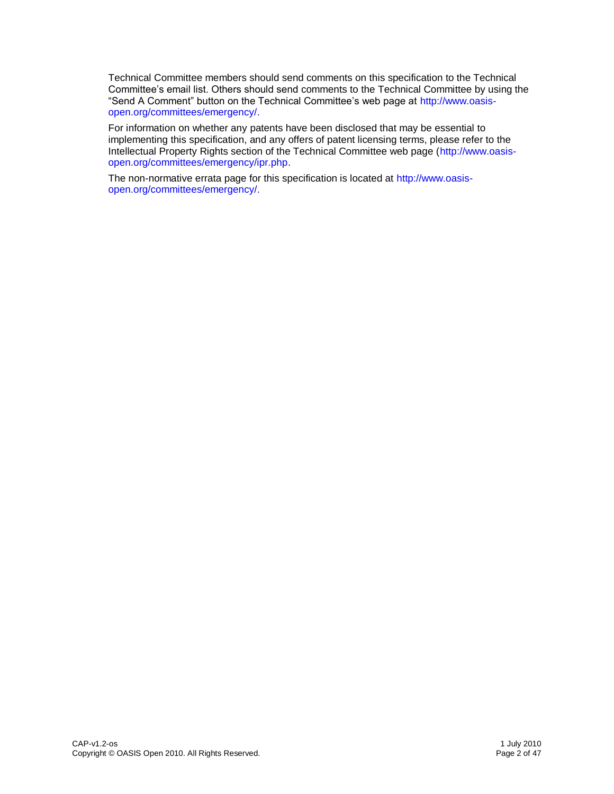Technical Committee members should send comments on this specification to the Technical Committee"s email list. Others should send comments to the Technical Committee by using the "Send A Comment" button on the Technical Committee"s web page at [http://www.oasis](http://www.oasis-open.org/committees/emergency/)[open.org/committees/emergency/.](http://www.oasis-open.org/committees/emergency/)

For information on whether any patents have been disclosed that may be essential to implementing this specification, and any offers of patent licensing terms, please refer to the Intellectual Property Rights section of the Technical Committee web page [\(http://www.oasis](http://www.oasis-open.org/committees/emergency/ipr.php)[open.org/committees/emergency/ipr.php.](http://www.oasis-open.org/committees/emergency/ipr.php)

The non-normative errata page for this specification is located at [http://www.oasis](http://www.oasis-open.org/committees/emergency/)[open.org/committees/emergency/.](http://www.oasis-open.org/committees/emergency/)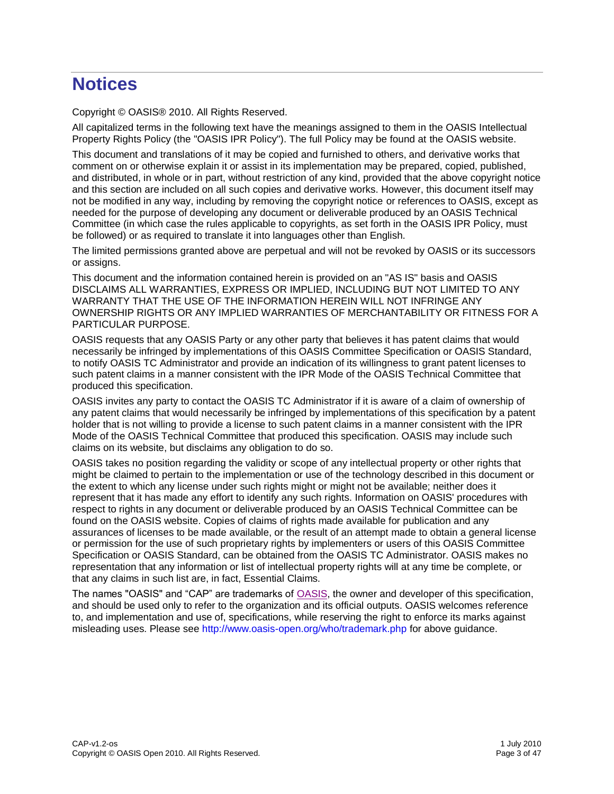# **Notices**

Copyright © OASIS® 2010. All Rights Reserved.

All capitalized terms in the following text have the meanings assigned to them in the OASIS Intellectual Property Rights Policy (the "OASIS IPR Policy"). The full Policy may be found at the OASIS website.

This document and translations of it may be copied and furnished to others, and derivative works that comment on or otherwise explain it or assist in its implementation may be prepared, copied, published, and distributed, in whole or in part, without restriction of any kind, provided that the above copyright notice and this section are included on all such copies and derivative works. However, this document itself may not be modified in any way, including by removing the copyright notice or references to OASIS, except as needed for the purpose of developing any document or deliverable produced by an OASIS Technical Committee (in which case the rules applicable to copyrights, as set forth in the OASIS IPR Policy, must be followed) or as required to translate it into languages other than English.

The limited permissions granted above are perpetual and will not be revoked by OASIS or its successors or assigns.

This document and the information contained herein is provided on an "AS IS" basis and OASIS DISCLAIMS ALL WARRANTIES, EXPRESS OR IMPLIED, INCLUDING BUT NOT LIMITED TO ANY WARRANTY THAT THE USE OF THE INFORMATION HEREIN WILL NOT INFRINGE ANY OWNERSHIP RIGHTS OR ANY IMPLIED WARRANTIES OF MERCHANTABILITY OR FITNESS FOR A PARTICULAR PURPOSE.

OASIS requests that any OASIS Party or any other party that believes it has patent claims that would necessarily be infringed by implementations of this OASIS Committee Specification or OASIS Standard, to notify OASIS TC Administrator and provide an indication of its willingness to grant patent licenses to such patent claims in a manner consistent with the IPR Mode of the OASIS Technical Committee that produced this specification.

OASIS invites any party to contact the OASIS TC Administrator if it is aware of a claim of ownership of any patent claims that would necessarily be infringed by implementations of this specification by a patent holder that is not willing to provide a license to such patent claims in a manner consistent with the IPR Mode of the OASIS Technical Committee that produced this specification. OASIS may include such claims on its website, but disclaims any obligation to do so.

OASIS takes no position regarding the validity or scope of any intellectual property or other rights that might be claimed to pertain to the implementation or use of the technology described in this document or the extent to which any license under such rights might or might not be available; neither does it represent that it has made any effort to identify any such rights. Information on OASIS' procedures with respect to rights in any document or deliverable produced by an OASIS Technical Committee can be found on the OASIS website. Copies of claims of rights made available for publication and any assurances of licenses to be made available, or the result of an attempt made to obtain a general license or permission for the use of such proprietary rights by implementers or users of this OASIS Committee Specification or OASIS Standard, can be obtained from the OASIS TC Administrator. OASIS makes no representation that any information or list of intellectual property rights will at any time be complete, or that any claims in such list are, in fact, Essential Claims.

The names "OASIS" and "CAP" are trademarks of [OASIS,](http://www.oasis-open.org/) the owner and developer of this specification, and should be used only to refer to the organization and its official outputs. OASIS welcomes reference to, and implementation and use of, specifications, while reserving the right to enforce its marks against misleading uses. Please see<http://www.oasis-open.org/who/trademark.php> for above guidance.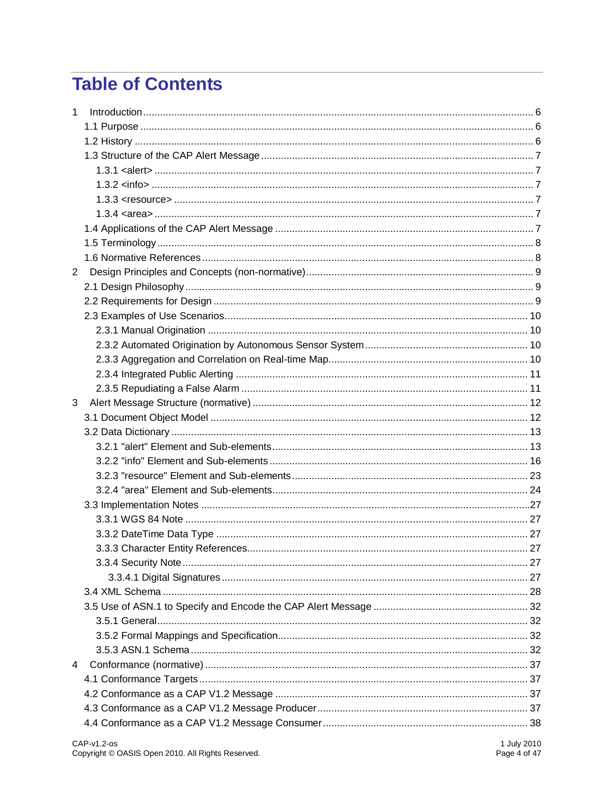# **Table of Contents**

| 1              |  |
|----------------|--|
|                |  |
|                |  |
|                |  |
|                |  |
|                |  |
|                |  |
|                |  |
|                |  |
|                |  |
|                |  |
| $\overline{2}$ |  |
|                |  |
|                |  |
|                |  |
|                |  |
|                |  |
|                |  |
|                |  |
|                |  |
| 3              |  |
|                |  |
|                |  |
|                |  |
|                |  |
|                |  |
|                |  |
|                |  |
|                |  |
|                |  |
|                |  |
|                |  |
|                |  |
|                |  |
|                |  |
|                |  |
|                |  |
|                |  |
| 4              |  |
|                |  |
|                |  |
|                |  |
|                |  |
|                |  |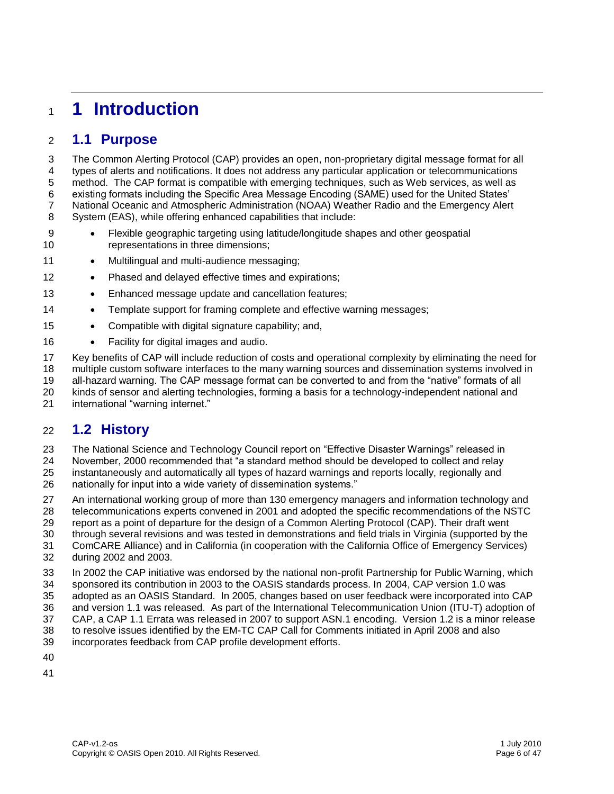# **1 Introduction**

#### **1.1 Purpose**

 The Common Alerting Protocol (CAP) provides an open, non-proprietary digital message format for all types of alerts and notifications. It does not address any particular application or telecommunications method. The CAP format is compatible with emerging techniques, such as Web services, as well as existing formats including the Specific Area Message Encoding (SAME) used for the United States" National Oceanic and Atmospheric Administration (NOAA) Weather Radio and the Emergency Alert System (EAS), while offering enhanced capabilities that include:

- Flexible geographic targeting using latitude/longitude shapes and other geospatial representations in three dimensions;
- 11 Multilingual and multi-audience messaging;
- 12 Phased and delayed effective times and expirations;
- 13 Enhanced message update and cancellation features;
- **•** Template support for framing complete and effective warning messages;
- 15 Compatible with digital signature capability; and,
- 16 Facility for digital images and audio.
- Key benefits of CAP will include reduction of costs and operational complexity by eliminating the need for
- multiple custom software interfaces to the many warning sources and dissemination systems involved in
- all-hazard warning. The CAP message format can be converted to and from the "native" formats of all kinds of sensor and alerting technologies, forming a basis for a technology-independent national and
- international "warning internet."

#### **1.2 History**

The National Science and Technology Council report on "Effective Disaster Warnings" released in

November, 2000 recommended that "a standard method should be developed to collect and relay

 instantaneously and automatically all types of hazard warnings and reports locally, regionally and 26 nationally for input into a wide variety of dissemination systems."

 An international working group of more than 130 emergency managers and information technology and telecommunications experts convened in 2001 and adopted the specific recommendations of the NSTC report as a point of departure for the design of a Common Alerting Protocol (CAP). Their draft went

through several revisions and was tested in demonstrations and field trials in Virginia (supported by the

 ComCARE Alliance) and in California (in cooperation with the California Office of Emergency Services) during 2002 and 2003.

- In 2002 the CAP initiative was endorsed by the national non-profit Partnership for Public Warning, which sponsored its contribution in 2003 to the OASIS standards process. In 2004, CAP version 1.0 was
- adopted as an OASIS Standard. In 2005, changes based on user feedback were incorporated into CAP
- and version 1.1 was released. As part of the International Telecommunication Union (ITU-T) adoption of
- CAP, a CAP 1.1 Errata was released in 2007 to support ASN.1 encoding. Version 1.2 is a minor release
- to resolve issues identified by the EM-TC CAP Call for Comments initiated in April 2008 and also incorporates feedback from CAP profile development efforts.
- 
-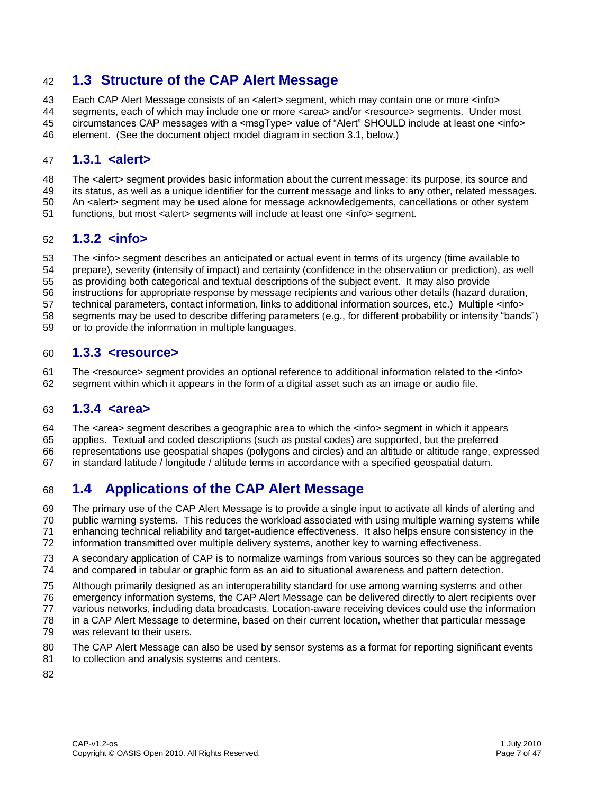#### **1.3 Structure of the CAP Alert Message**

43 Each CAP Alert Message consists of an <alert> segment, which may contain one or more <info>

 segments, each of which may include one or more <area> and/or <resource> segments. Under most circumstances CAP messages with a <msgType> value of "Alert" SHOULD include at least one <info>

element. (See the document object model diagram in section 3.1, below.)

#### **1.3.1 <alert>**

- 48 The <alert> segment provides basic information about the current message: its purpose, its source and
- its status, as well as a unique identifier for the current message and links to any other, related messages.
- An <alert> segment may be used alone for message acknowledgements, cancellations or other system
- functions, but most <alert> segments will include at least one <info> segment.

#### **1.3.2 <info>**

- 53 The <info> segment describes an anticipated or actual event in terms of its urgency (time available to
- prepare), severity (intensity of impact) and certainty (confidence in the observation or prediction), as well
- as providing both categorical and textual descriptions of the subject event. It may also provide
- instructions for appropriate response by message recipients and various other details (hazard duration,
- technical parameters, contact information, links to additional information sources, etc.) Multiple <info>
- segments may be used to describe differing parameters (e.g., for different probability or intensity "bands")
- or to provide the information in multiple languages.

#### **1.3.3 <resource>**

 The <resource> segment provides an optional reference to additional information related to the <info> segment within which it appears in the form of a digital asset such as an image or audio file.

#### **1.3.4 <area>**

- The <area> segment describes a geographic area to which the <info> segment in which it appears
- applies. Textual and coded descriptions (such as postal codes) are supported, but the preferred
- representations use geospatial shapes (polygons and circles) and an altitude or altitude range, expressed
- in standard latitude / longitude / altitude terms in accordance with a specified geospatial datum.

### **1.4 Applications of the CAP Alert Message**

- The primary use of the CAP Alert Message is to provide a single input to activate all kinds of alerting and
- public warning systems. This reduces the workload associated with using multiple warning systems while
- enhancing technical reliability and target-audience effectiveness. It also helps ensure consistency in the
- information transmitted over multiple delivery systems, another key to warning effectiveness.
- A secondary application of CAP is to normalize warnings from various sources so they can be aggregated and compared in tabular or graphic form as an aid to situational awareness and pattern detection.
- Although primarily designed as an interoperability standard for use among warning systems and other
- emergency information systems, the CAP Alert Message can be delivered directly to alert recipients over
- various networks, including data broadcasts. Location-aware receiving devices could use the information
- in a CAP Alert Message to determine, based on their current location, whether that particular message
- was relevant to their users.
- The CAP Alert Message can also be used by sensor systems as a format for reporting significant events to collection and analysis systems and centers.
-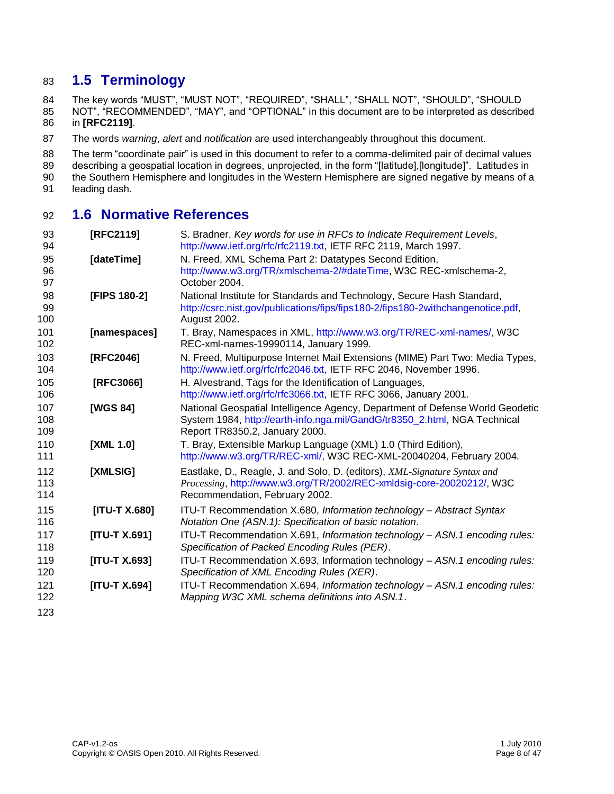#### **1.5 Terminology**

The key words "MUST", "MUST NOT", "REQUIRED", "SHALL", "SHALL NOT", "SHOULD", "SHOULD

 NOT", "RECOMMENDED", "MAY", and "OPTIONAL" in this document are to be interpreted as described in **[\[RFC2119\]](#page-7-0)**.

The words *warning*, *alert* and *notification* are used interchangeably throughout this document.

88 The term "coordinate pair" is used in this document to refer to a comma-delimited pair of decimal values in<br>89 describing a geospatial location in degrees, unprojected, in the form "[latitude],[longitude]". Latitudes in

describing a geospatial location in degrees, unprojected, in the form "[latitude],[longitude]". Latitudes in

the Southern Hemisphere and longitudes in the Western Hemisphere are signed negative by means of a

leading dash.

#### **1.6 Normative References**

<span id="page-7-0"></span>

| 93<br>94 | [RFC2119]            | S. Bradner, Key words for use in RFCs to Indicate Requirement Levels,<br>http://www.ietf.org/rfc/rfc2119.txt, IETF RFC 2119, March 1997. |
|----------|----------------------|------------------------------------------------------------------------------------------------------------------------------------------|
| 95       | [dateTime]           | N. Freed, XML Schema Part 2: Datatypes Second Edition,                                                                                   |
| 96       |                      | http://www.w3.org/TR/xmlschema-2/#dateTime, W3C REC-xmlschema-2,                                                                         |
| 97       |                      | October 2004.                                                                                                                            |
| 98       | [FIPS 180-2]         | National Institute for Standards and Technology, Secure Hash Standard,                                                                   |
| 99       |                      | http://csrc.nist.gov/publications/fips/fips180-2/fips180-2withchangenotice.pdf,                                                          |
| 100      |                      | August 2002.                                                                                                                             |
| 101      | [namespaces]         | T. Bray, Namespaces in XML, http://www.w3.org/TR/REC-xml-names/, W3C                                                                     |
| 102      |                      | REC-xml-names-19990114, January 1999.                                                                                                    |
| 103      | [RFC2046]            | N. Freed, Multipurpose Internet Mail Extensions (MIME) Part Two: Media Types,                                                            |
| 104      |                      | http://www.ietf.org/rfc/rfc2046.txt, IETF RFC 2046, November 1996.                                                                       |
| 105      | [RFC3066]            | H. Alvestrand, Tags for the Identification of Languages,                                                                                 |
| 106      |                      | http://www.ietf.org/rfc/rfc3066.txt, IETF RFC 3066, January 2001.                                                                        |
| 107      | [WGS 84]             | National Geospatial Intelligence Agency, Department of Defense World Geodetic                                                            |
| 108      |                      | System 1984, http://earth-info.nga.mil/GandG/tr8350_2.html, NGA Technical                                                                |
| 109      |                      | Report TR8350.2, January 2000.                                                                                                           |
| 110      | [XML 1.0]            | T. Bray, Extensible Markup Language (XML) 1.0 (Third Edition),                                                                           |
| 111      |                      | http://www.w3.org/TR/REC-xml/, W3C REC-XML-20040204, February 2004.                                                                      |
| 112      | [XMLSIG]             | Eastlake, D., Reagle, J. and Solo, D. (editors), XML-Signature Syntax and                                                                |
| 113      |                      | Processing, http://www.w3.org/TR/2002/REC-xmldsig-core-20020212/, W3C                                                                    |
| 114      |                      | Recommendation, February 2002.                                                                                                           |
| 115      | [ITU-T X.680]        | ITU-T Recommendation X.680, Information technology - Abstract Syntax                                                                     |
| 116      |                      | Notation One (ASN.1): Specification of basic notation.                                                                                   |
| 117      | <b>[ITU-T X.691]</b> | ITU-T Recommendation X.691, Information technology - ASN.1 encoding rules:                                                               |
| 118      |                      | Specification of Packed Encoding Rules (PER).                                                                                            |
| 119      | [ITU-T X.693]        | ITU-T Recommendation X.693, Information technology - ASN.1 encoding rules:                                                               |
| 120      |                      | Specification of XML Encoding Rules (XER).                                                                                               |
| 121      | [ITU-T X.694]        | ITU-T Recommendation X.694, Information technology - ASN.1 encoding rules:                                                               |
| 122      |                      | Mapping W3C XML schema definitions into ASN.1.                                                                                           |
| 123      |                      |                                                                                                                                          |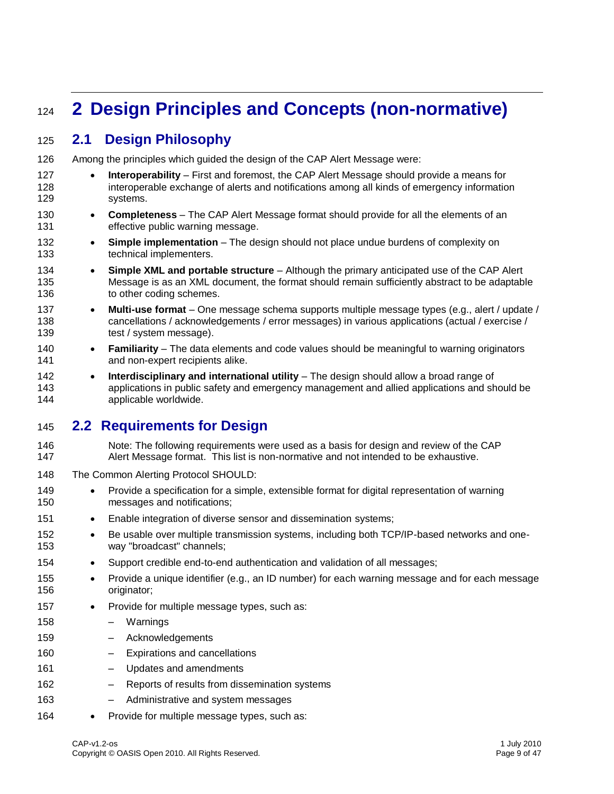# **2 Design Principles and Concepts (non-normative)**

### **2.1 Design Philosophy**

- Among the principles which guided the design of the CAP Alert Message were:
- **•** Interoperability First and foremost, the CAP Alert Message should provide a means for interoperable exchange of alerts and notifications among all kinds of emergency information systems.
- **Completeness** The CAP Alert Message format should provide for all the elements of an effective public warning message.
- **Simple implementation** The design should not place undue burdens of complexity on technical implementers.
- **Simple XML and portable structure** Although the primary anticipated use of the CAP Alert Message is as an XML document, the format should remain sufficiently abstract to be adaptable 136 to other coding schemes.
- **Multi-use format** One message schema supports multiple message types (e.g., alert / update / cancellations / acknowledgements / error messages) in various applications (actual / exercise / 139 test / system message).
- **Familiarity** The data elements and code values should be meaningful to warning originators **and non-expert recipients alike.**
- **Interdisciplinary and international utility** The design should allow a broad range of applications in public safety and emergency management and allied applications and should be applicable worldwide.

### **2.2 Requirements for Design**

- Note: The following requirements were used as a basis for design and review of the CAP Alert Message format. This list is non-normative and not intended to be exhaustive.
- The Common Alerting Protocol SHOULD:
- 149 Provide a specification for a simple, extensible format for digital representation of warning messages and notifications;
- 151 Enable integration of diverse sensor and dissemination systems;
- 152 Be usable over multiple transmission systems, including both TCP/IP-based networks and one-way "broadcast" channels;
- Support credible end-to-end authentication and validation of all messages;
- 155 Provide a unique identifier (e.g., an ID number) for each warning message and for each message originator;
- 157 Provide for multiple message types, such as:
- Warnings – Acknowledgements – Expirations and cancellations
- Updates and amendments
- Reports of results from dissemination systems
- Administrative and system messages
- 164 Provide for multiple message types, such as: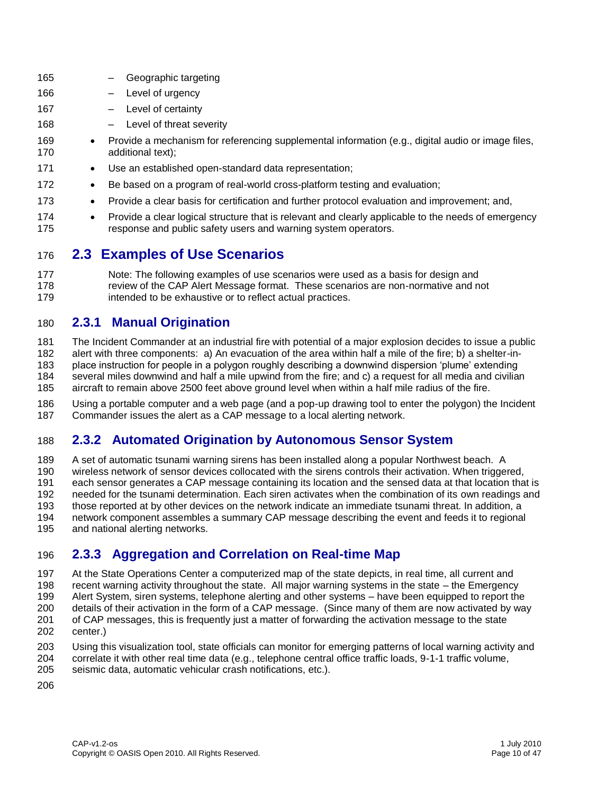| 165        | Geographic targeting                                                                                                                                                               |
|------------|------------------------------------------------------------------------------------------------------------------------------------------------------------------------------------|
| 166        | Level of urgency                                                                                                                                                                   |
| 167        | Level of certainty                                                                                                                                                                 |
| 168        | Level of threat severity                                                                                                                                                           |
| 169<br>170 | Provide a mechanism for referencing supplemental information (e.g., digital audio or image files,<br>$\bullet$<br>additional text);                                                |
| 171        | Use an established open-standard data representation;<br>$\bullet$                                                                                                                 |
| 172        | Be based on a program of real-world cross-platform testing and evaluation;<br>$\bullet$                                                                                            |
| 173        | Provide a clear basis for certification and further protocol evaluation and improvement; and,<br>$\bullet$                                                                         |
| 174<br>175 | Provide a clear logical structure that is relevant and clearly applicable to the needs of emergency<br>$\bullet$<br>response and public safety users and warning system operators. |
| 176        | 2.3 Examples of I Ise Scenarios                                                                                                                                                    |

#### **2.3 Examples of Use Scenarios**

 Note: The following examples of use scenarios were used as a basis for design and review of the CAP Alert Message format. These scenarios are non-normative and not **intended to be exhaustive or to reflect actual practices.** 

#### **2.3.1 Manual Origination**

 The Incident Commander at an industrial fire with potential of a major explosion decides to issue a public alert with three components: a) An evacuation of the area within half a mile of the fire; b) a shelter-in- place instruction for people in a polygon roughly describing a downwind dispersion "plume" extending several miles downwind and half a mile upwind from the fire; and c) a request for all media and civilian aircraft to remain above 2500 feet above ground level when within a half mile radius of the fire.

 Using a portable computer and a web page (and a pop-up drawing tool to enter the polygon) the Incident Commander issues the alert as a CAP message to a local alerting network.

### **2.3.2 Automated Origination by Autonomous Sensor System**

 A set of automatic tsunami warning sirens has been installed along a popular Northwest beach. A wireless network of sensor devices collocated with the sirens controls their activation. When triggered, each sensor generates a CAP message containing its location and the sensed data at that location that is needed for the tsunami determination. Each siren activates when the combination of its own readings and those reported at by other devices on the network indicate an immediate tsunami threat. In addition, a

 network component assembles a summary CAP message describing the event and feeds it to regional and national alerting networks.

#### **2.3.3 Aggregation and Correlation on Real-time Map**

At the State Operations Center a computerized map of the state depicts, in real time, all current and

 recent warning activity throughout the state. All major warning systems in the state – the Emergency Alert System, siren systems, telephone alerting and other systems – have been equipped to report the

- details of their activation in the form of a CAP message. (Since many of them are now activated by way
- of CAP messages, this is frequently just a matter of forwarding the activation message to the state
- center.)
- Using this visualization tool, state officials can monitor for emerging patterns of local warning activity and
- correlate it with other real time data (e.g., telephone central office traffic loads, 9-1-1 traffic volume, seismic data, automatic vehicular crash notifications, etc.).
-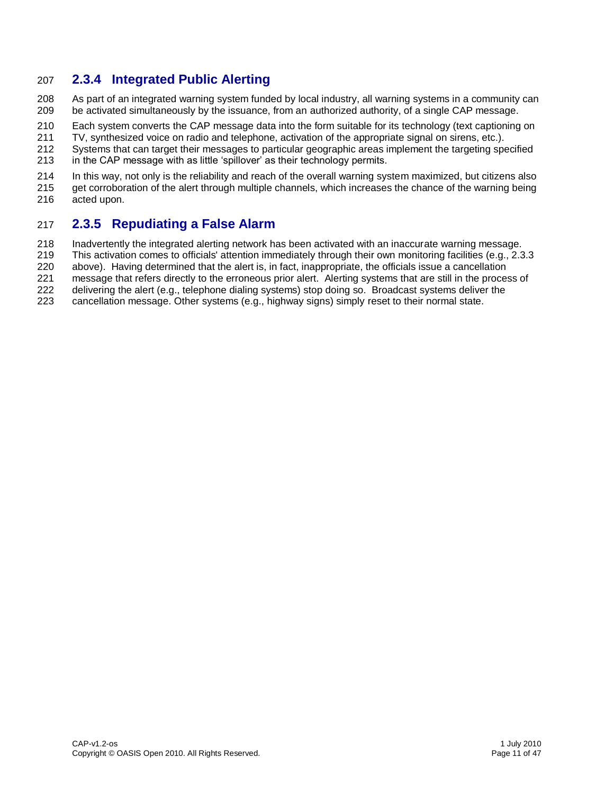#### **2.3.4 Integrated Public Alerting**

- As part of an integrated warning system funded by local industry, all warning systems in a community can be activated simultaneously by the issuance, from an authorized authority, of a single CAP message.
- Each system converts the CAP message data into the form suitable for its technology (text captioning on
- 211 TV, synthesized voice on radio and telephone, activation of the appropriate signal on sirens, etc.).<br>212 Systems that can target their messages to particular geographic areas implement the targeting spe
- Systems that can target their messages to particular geographic areas implement the targeting specified in the CAP message with as little "spillover" as their technology permits.
- In this way, not only is the reliability and reach of the overall warning system maximized, but citizens also
- get corroboration of the alert through multiple channels, which increases the chance of the warning being
- acted upon.

#### **2.3.5 Repudiating a False Alarm**

- Inadvertently the integrated alerting network has been activated with an inaccurate warning message.
- This activation comes to officials' attention immediately through their own monitoring facilities (e.g., 2.3.3
- above). Having determined that the alert is, in fact, inappropriate, the officials issue a cancellation
- message that refers directly to the erroneous prior alert. Alerting systems that are still in the process of
- delivering the alert (e.g., telephone dialing systems) stop doing so. Broadcast systems deliver the
- cancellation message. Other systems (e.g., highway signs) simply reset to their normal state.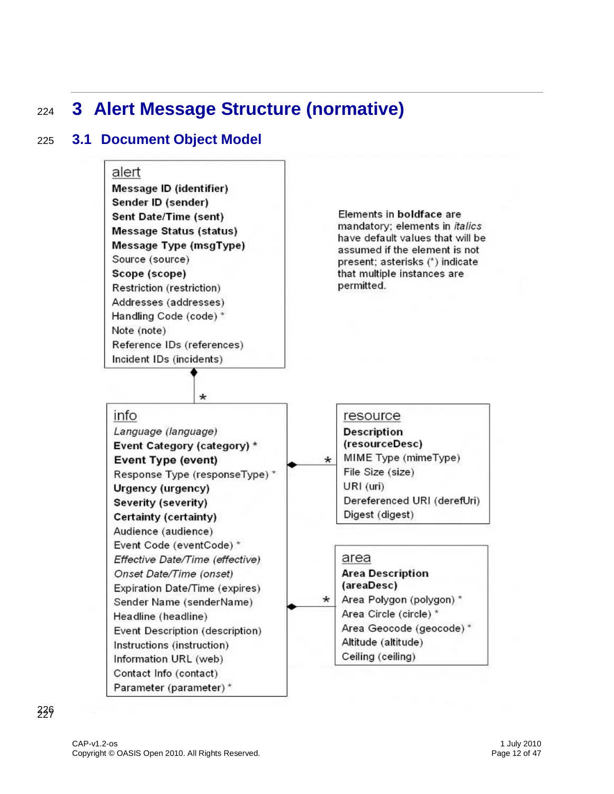# <sup>224</sup> **3 Alert Message Structure (normative)**

### 225 **3.1 Document Object Model**

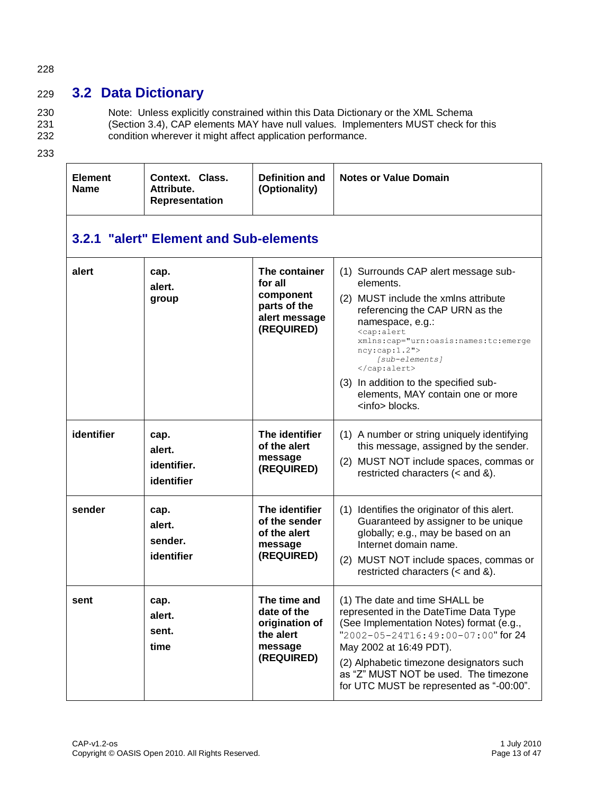#### 228

### 229 **3.2 Data Dictionary**

230 Note: Unless explicitly constrained within this Data Dictionary or the XML Schema 231 (Section 3.4), CAP elements MAY have null values. Implementers MUST check for this 232 condition wherever it might affect application performance.

| <b>Element</b><br><b>Name</b> | Context. Class.<br>Attribute.<br><b>Representation</b> | <b>Definition and</b><br>(Optionality)                                               | <b>Notes or Value Domain</b>                                                                                                                                                                                                                                                                                                                                            |  |  |  |  |
|-------------------------------|--------------------------------------------------------|--------------------------------------------------------------------------------------|-------------------------------------------------------------------------------------------------------------------------------------------------------------------------------------------------------------------------------------------------------------------------------------------------------------------------------------------------------------------------|--|--|--|--|
|                               | 3.2.1 "alert" Element and Sub-elements                 |                                                                                      |                                                                                                                                                                                                                                                                                                                                                                         |  |  |  |  |
| alert                         | cap.<br>alert.<br>group                                | The container<br>for all<br>component<br>parts of the<br>alert message<br>(REQUIRED) | (1) Surrounds CAP alert message sub-<br>elements.<br>(2) MUST include the xmlns attribute<br>referencing the CAP URN as the<br>namespace, e.g.:<br><cap:alert<br>xmlns:cap="urn:oasis:names:tc:emerge<br/>ncy:cap:1.2"<br/>[sub-elements]<br/><br/>(3) In addition to the specified sub-<br/>elements, MAY contain one or more<br/><info> blocks.</info></cap:alert<br> |  |  |  |  |
| identifier                    | cap.<br>alert.<br>identifier.<br>identifier            | The identifier<br>of the alert<br>message<br>(REQUIRED)                              | (1) A number or string uniquely identifying<br>this message, assigned by the sender.<br>(2) MUST NOT include spaces, commas or<br>restricted characters $(<$ and $\&)$ .                                                                                                                                                                                                |  |  |  |  |
| sender                        | cap.<br>alert.<br>sender.<br>identifier                | The identifier<br>of the sender<br>of the alert<br>message<br>(REQUIRED)             | (1) Identifies the originator of this alert.<br>Guaranteed by assigner to be unique<br>globally; e.g., may be based on an<br>Internet domain name.<br>MUST NOT include spaces, commas or<br>(2)<br>restricted characters $(<$ and $\&$ ).                                                                                                                               |  |  |  |  |
| sent                          | cap.<br>alert.<br>sent.<br>time                        | The time and<br>date of the<br>origination of<br>the alert<br>message<br>(REQUIRED)  | (1) The date and time SHALL be<br>represented in the DateTime Data Type<br>(See Implementation Notes) format (e.g.,<br>"2002-05-24T16:49:00-07:00" for 24<br>May 2002 at 16:49 PDT).<br>(2) Alphabetic timezone designators such<br>as "Z" MUST NOT be used. The timezone<br>for UTC MUST be represented as "-00:00".                                                   |  |  |  |  |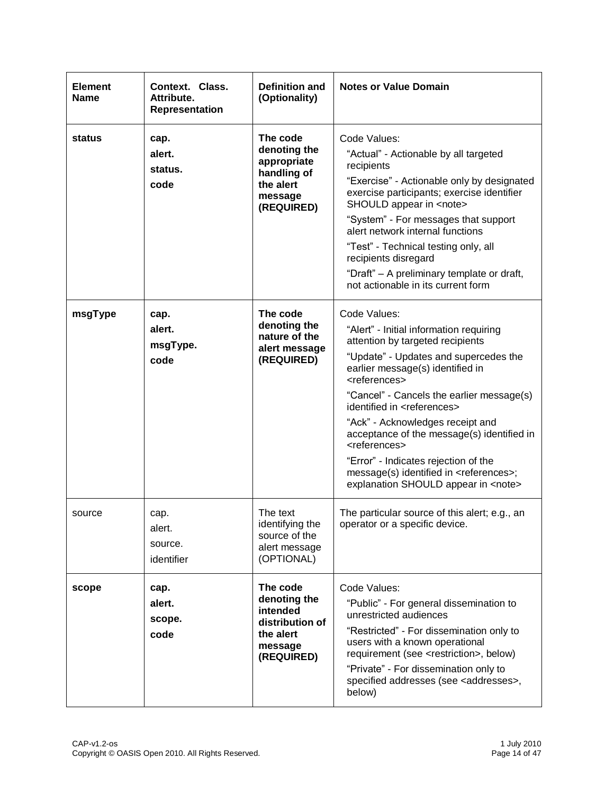| <b>Element</b><br><b>Name</b> | Context. Class.<br>Attribute.<br><b>Representation</b> | <b>Definition and</b><br>(Optionality)                                                        | <b>Notes or Value Domain</b>                                                                                                                                                                                                                                                                                                                                                                                                                                                                                                                                      |
|-------------------------------|--------------------------------------------------------|-----------------------------------------------------------------------------------------------|-------------------------------------------------------------------------------------------------------------------------------------------------------------------------------------------------------------------------------------------------------------------------------------------------------------------------------------------------------------------------------------------------------------------------------------------------------------------------------------------------------------------------------------------------------------------|
| status                        | cap.<br>alert.<br>status.<br>code                      | The code<br>denoting the<br>appropriate<br>handling of<br>the alert<br>message<br>(REQUIRED)  | Code Values:<br>"Actual" - Actionable by all targeted<br>recipients<br>"Exercise" - Actionable only by designated<br>exercise participants; exercise identifier<br>SHOULD appear in <note><br/>"System" - For messages that support<br/>alert network internal functions<br/>"Test" - Technical testing only, all<br/>recipients disregard<br/>"Draft" - A preliminary template or draft,<br/>not actionable in its current form</note>                                                                                                                           |
| msgType                       | cap.<br>alert.<br>msgType.<br>code                     | The code<br>denoting the<br>nature of the<br>alert message<br>(REQUIRED)                      | Code Values:<br>"Alert" - Initial information requiring<br>attention by targeted recipients<br>"Update" - Updates and supercedes the<br>earlier message(s) identified in<br><references><br/>"Cancel" - Cancels the earlier message(s)<br/>identified in <references><br/>"Ack" - Acknowledges receipt and<br/>acceptance of the message(s) identified in<br/><references><br/>"Error" - Indicates rejection of the<br/>message(s) identified in <references>;<br/>explanation SHOULD appear in <note></note></references></references></references></references> |
| source                        | cap.<br>alert.<br>source.<br>identifier                | The text<br>identifying the<br>source of the<br>alert message<br>(OPTIONAL)                   | The particular source of this alert; e.g., an<br>operator or a specific device.                                                                                                                                                                                                                                                                                                                                                                                                                                                                                   |
| scope                         | cap.<br>alert.<br>scope.<br>code                       | The code<br>denoting the<br>intended<br>distribution of<br>the alert<br>message<br>(REQUIRED) | Code Values:<br>"Public" - For general dissemination to<br>unrestricted audiences<br>"Restricted" - For dissemination only to<br>users with a known operational<br>requirement (see <restriction>, below)<br/>"Private" - For dissemination only to<br/>specified addresses (see <addresses>,<br/>below)</addresses></restriction>                                                                                                                                                                                                                                |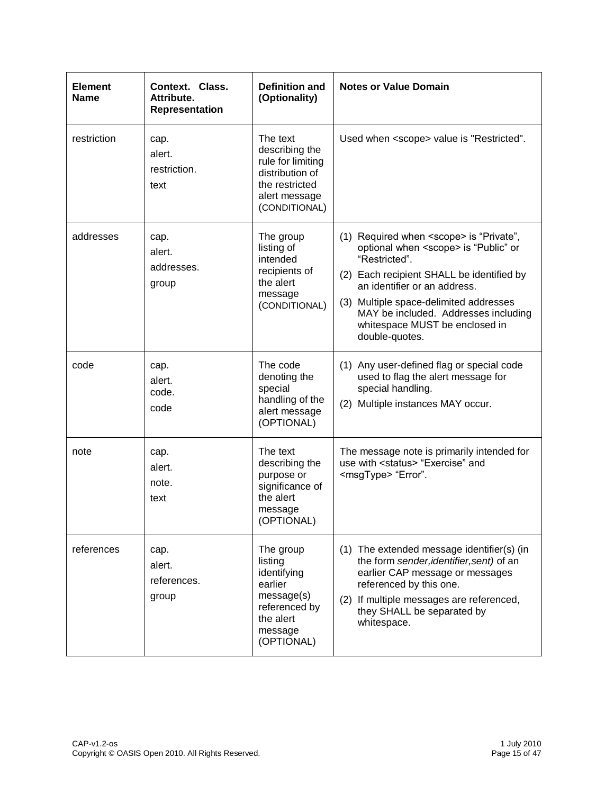| <b>Element</b><br>Name | Context. Class.<br>Attribute.<br><b>Representation</b> | <b>Definition and</b><br>(Optionality)                                                                                 | <b>Notes or Value Domain</b>                                                                                                                                                                                                                                                                                                                    |
|------------------------|--------------------------------------------------------|------------------------------------------------------------------------------------------------------------------------|-------------------------------------------------------------------------------------------------------------------------------------------------------------------------------------------------------------------------------------------------------------------------------------------------------------------------------------------------|
| restriction            | cap.<br>alert.<br>restriction.<br>text                 | The text<br>describing the<br>rule for limiting<br>distribution of<br>the restricted<br>alert message<br>(CONDITIONAL) | Used when <scope> value is "Restricted".</scope>                                                                                                                                                                                                                                                                                                |
| addresses              | cap.<br>alert.<br>addresses.<br>group                  | The group<br>listing of<br>intended<br>recipients of<br>the alert<br>message<br>(CONDITIONAL)                          | (1) Required when <scope> is "Private",<br/>optional when <scope> is "Public" or<br/>"Restricted".<br/>(2) Each recipient SHALL be identified by<br/>an identifier or an address.<br/>Multiple space-delimited addresses<br/>(3)<br/>MAY be included. Addresses including<br/>whitespace MUST be enclosed in<br/>double-quotes.</scope></scope> |
| code                   | cap.<br>alert.<br>code.<br>code                        | The code<br>denoting the<br>special<br>handling of the<br>alert message<br>(OPTIONAL)                                  | (1) Any user-defined flag or special code<br>used to flag the alert message for<br>special handling.<br>(2) Multiple instances MAY occur.                                                                                                                                                                                                       |
| note                   | cap.<br>alert.<br>note.<br>text                        | The text<br>describing the<br>purpose or<br>significance of<br>the alert<br>message<br>(OPTIONAL)                      | The message note is primarily intended for<br>use with <status> "Exercise" and<br/><msgtype> "Error".</msgtype></status>                                                                                                                                                                                                                        |
| references             | cap.<br>alert.<br>references.<br>group                 | The group<br>listing<br>identifying<br>earlier<br>message(s)<br>referenced by<br>the alert<br>message<br>(OPTIONAL)    | (1) The extended message identifier(s) (in<br>the form sender, identifier, sent) of an<br>earlier CAP message or messages<br>referenced by this one.<br>If multiple messages are referenced,<br>(2)<br>they SHALL be separated by<br>whitespace.                                                                                                |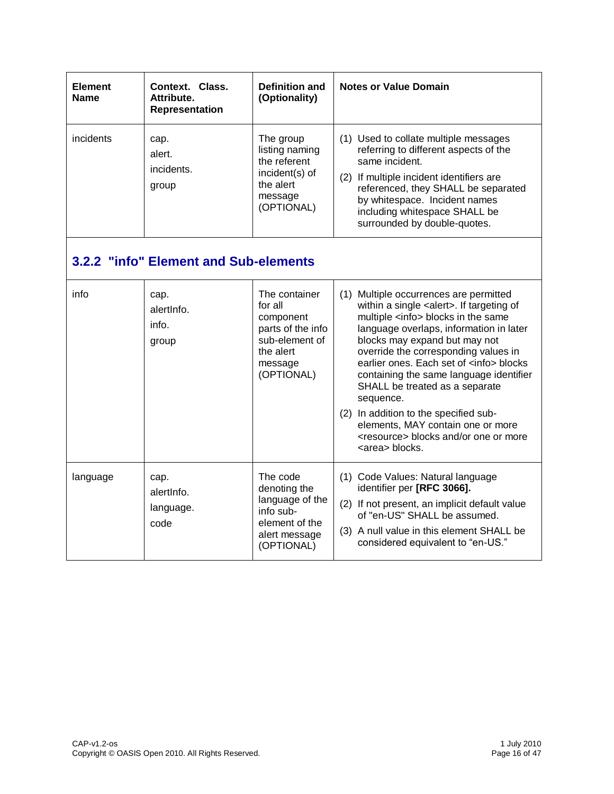| <b>Element</b><br><b>Name</b> | Context. Class.<br>Attribute.<br><b>Representation</b> | <b>Definition and</b><br>(Optionality)                                                                             | <b>Notes or Value Domain</b>                                                                                                                                                                                                                                                                                                                                                                                                                                                                                                                                            |
|-------------------------------|--------------------------------------------------------|--------------------------------------------------------------------------------------------------------------------|-------------------------------------------------------------------------------------------------------------------------------------------------------------------------------------------------------------------------------------------------------------------------------------------------------------------------------------------------------------------------------------------------------------------------------------------------------------------------------------------------------------------------------------------------------------------------|
| incidents                     | cap.<br>alert.<br>incidents.<br>group                  | The group<br>listing naming<br>the referent<br>incident(s) of<br>the alert<br>message<br>(OPTIONAL)                | (1) Used to collate multiple messages<br>referring to different aspects of the<br>same incident.<br>(2) If multiple incident identifiers are<br>referenced, they SHALL be separated<br>by whitespace. Incident names<br>including whitespace SHALL be<br>surrounded by double-quotes.                                                                                                                                                                                                                                                                                   |
|                               | 3.2.2 "info" Element and Sub-elements                  |                                                                                                                    |                                                                                                                                                                                                                                                                                                                                                                                                                                                                                                                                                                         |
| info                          | cap.<br>alertinfo.<br>info.<br>group                   | The container<br>for all<br>component<br>parts of the info<br>sub-element of<br>the alert<br>message<br>(OPTIONAL) | (1) Multiple occurrences are permitted<br>within a single <alert>. If targeting of<br/>multiple <info> blocks in the same<br/>language overlaps, information in later<br/>blocks may expand but may not<br/>override the corresponding values in<br/>earlier ones. Each set of <info> blocks<br/>containing the same language identifier<br/>SHALL be treated as a separate<br/>sequence.<br/>(2) In addition to the specified sub-<br/>elements, MAY contain one or more<br/><resource> blocks and/or one or more<br/><area/> blocks.</resource></info></info></alert> |
| language                      | cap.<br>alertinfo.<br>language.<br>code                | The code<br>denoting the<br>language of the<br>info sub-<br>element of the<br>alert message<br>(OPTIONAL)          | (1) Code Values: Natural language<br>identifier per [RFC 3066].<br>(2) If not present, an implicit default value<br>of "en-US" SHALL be assumed.<br>(3) A null value in this element SHALL be<br>considered equivalent to "en-US."                                                                                                                                                                                                                                                                                                                                      |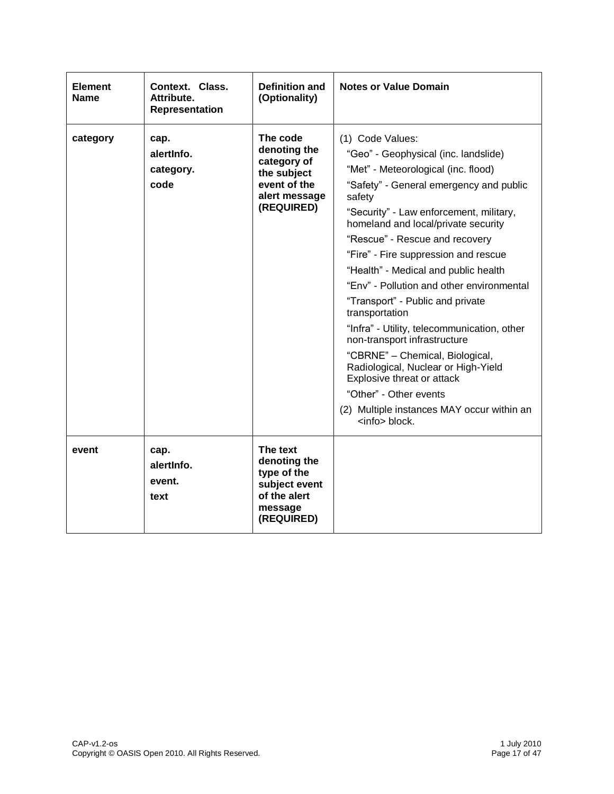| <b>Element</b><br><b>Name</b> | Context. Class.<br>Attribute.<br><b>Representation</b> | <b>Definition and</b><br>(Optionality)                                                                | <b>Notes or Value Domain</b>                                                                                                                                                                                                                                                                                                                                                                                                                                                                                                                                                                                                                                                                                                                       |
|-------------------------------|--------------------------------------------------------|-------------------------------------------------------------------------------------------------------|----------------------------------------------------------------------------------------------------------------------------------------------------------------------------------------------------------------------------------------------------------------------------------------------------------------------------------------------------------------------------------------------------------------------------------------------------------------------------------------------------------------------------------------------------------------------------------------------------------------------------------------------------------------------------------------------------------------------------------------------------|
| category                      | cap.<br>alertinfo.<br>category.<br>code                | The code<br>denoting the<br>category of<br>the subject<br>event of the<br>alert message<br>(REQUIRED) | (1) Code Values:<br>"Geo" - Geophysical (inc. landslide)<br>"Met" - Meteorological (inc. flood)<br>"Safety" - General emergency and public<br>safety<br>"Security" - Law enforcement, military,<br>homeland and local/private security<br>"Rescue" - Rescue and recovery<br>"Fire" - Fire suppression and rescue<br>"Health" - Medical and public health<br>"Env" - Pollution and other environmental<br>"Transport" - Public and private<br>transportation<br>"Infra" - Utility, telecommunication, other<br>non-transport infrastructure<br>"CBRNE" - Chemical, Biological,<br>Radiological, Nuclear or High-Yield<br>Explosive threat or attack<br>"Other" - Other events<br>(2) Multiple instances MAY occur within an<br><info> block.</info> |
| event                         | cap.<br>alertinfo.<br>event.<br>text                   | The text<br>denoting the<br>type of the<br>subject event<br>of the alert<br>message<br>(REQUIRED)     |                                                                                                                                                                                                                                                                                                                                                                                                                                                                                                                                                                                                                                                                                                                                                    |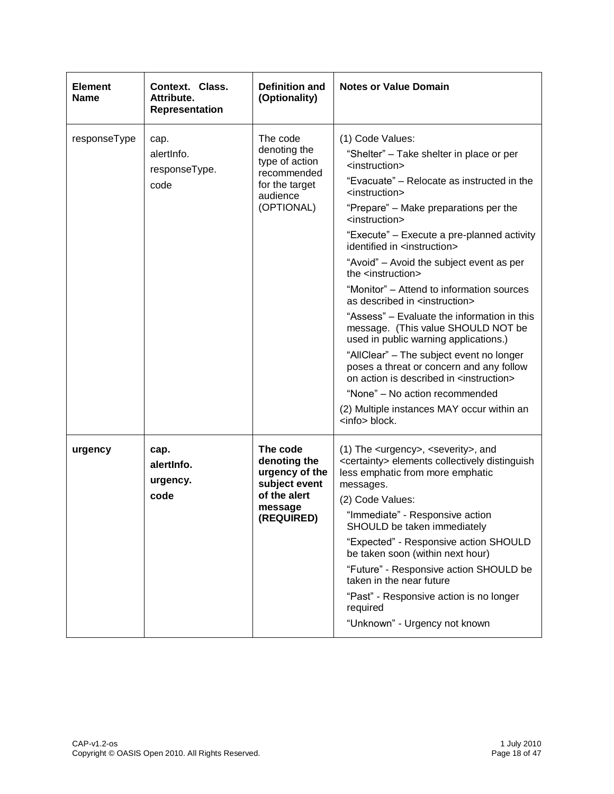| <b>Element</b><br><b>Name</b> | Context. Class.<br>Attribute.<br><b>Representation</b> | Definition and<br>(Optionality)                                                                       | <b>Notes or Value Domain</b>                                                                                                                                                                                                                                                                                                                                                                                                                                                                                                                                                                                                                                                                                                                                                                                                                                                                                                     |
|-------------------------------|--------------------------------------------------------|-------------------------------------------------------------------------------------------------------|----------------------------------------------------------------------------------------------------------------------------------------------------------------------------------------------------------------------------------------------------------------------------------------------------------------------------------------------------------------------------------------------------------------------------------------------------------------------------------------------------------------------------------------------------------------------------------------------------------------------------------------------------------------------------------------------------------------------------------------------------------------------------------------------------------------------------------------------------------------------------------------------------------------------------------|
| responseType                  | cap.<br>alertinfo.<br>responseType.<br>code            | The code<br>denoting the<br>type of action<br>recommended<br>for the target<br>audience<br>(OPTIONAL) | (1) Code Values:<br>"Shelter" - Take shelter in place or per<br><instruction><br/>"Evacuate" - Relocate as instructed in the<br/><instruction><br/>"Prepare" - Make preparations per the<br/><instruction><br/>"Execute" - Execute a pre-planned activity<br/>identified in <instruction><br/>"Avoid" - Avoid the subject event as per<br/>the <instruction><br/>"Monitor" – Attend to information sources<br/>as described in <instruction><br/>"Assess" - Evaluate the information in this<br/>message. (This value SHOULD NOT be<br/>used in public warning applications.)<br/>"AllClear" - The subject event no longer<br/>poses a threat or concern and any follow<br/>on action is described in <instruction><br/>"None" - No action recommended<br/>(2) Multiple instances MAY occur within an<br/><info> block.</info></instruction></instruction></instruction></instruction></instruction></instruction></instruction> |
| urgency                       | cap.<br>alertinfo.<br>urgency.<br>code                 | The code<br>denoting the<br>urgency of the<br>subject event<br>of the alert<br>message<br>(REQUIRED)  | (1) The <urgency>, <severity>, and<br/><certainty> elements collectively distinguish<br/>less emphatic from more emphatic<br/>messages.<br/>(2) Code Values:<br/>"Immediate" - Responsive action<br/>SHOULD be taken immediately<br/>"Expected" - Responsive action SHOULD<br/>be taken soon (within next hour)<br/>"Future" - Responsive action SHOULD be<br/>taken in the near future<br/>"Past" - Responsive action is no longer<br/>required<br/>"Unknown" - Urgency not known</certainty></severity></urgency>                                                                                                                                                                                                                                                                                                                                                                                                              |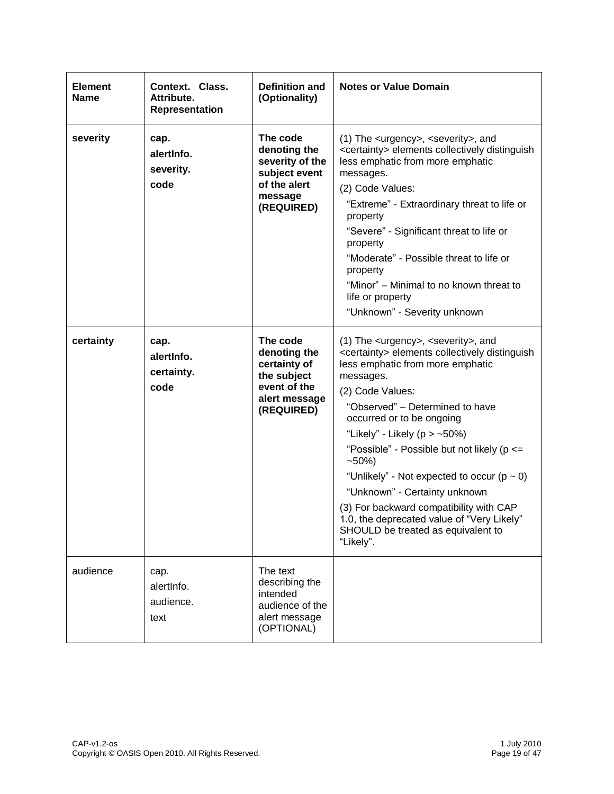| <b>Element</b><br>Name | Context. Class.<br>Attribute.<br><b>Representation</b> | <b>Definition and</b><br>(Optionality)                                                                 | <b>Notes or Value Domain</b>                                                                                                                                                                                                                                                                                                                                                                                                                                                                                                                                                                                                               |
|------------------------|--------------------------------------------------------|--------------------------------------------------------------------------------------------------------|--------------------------------------------------------------------------------------------------------------------------------------------------------------------------------------------------------------------------------------------------------------------------------------------------------------------------------------------------------------------------------------------------------------------------------------------------------------------------------------------------------------------------------------------------------------------------------------------------------------------------------------------|
| severity               | cap.<br>alertinfo.<br>severity.<br>code                | The code<br>denoting the<br>severity of the<br>subject event<br>of the alert<br>message<br>(REQUIRED)  | (1) The <urgency>, <severity>, and<br/><certainty> elements collectively distinguish<br/>less emphatic from more emphatic<br/>messages.<br/>(2) Code Values:<br/>"Extreme" - Extraordinary threat to life or<br/>property<br/>"Severe" - Significant threat to life or<br/>property<br/>"Moderate" - Possible threat to life or<br/>property<br/>"Minor" – Minimal to no known threat to<br/>life or property<br/>"Unknown" - Severity unknown</certainty></severity></urgency>                                                                                                                                                            |
| certainty              | cap.<br>alertinfo.<br>certainty.<br>code               | The code<br>denoting the<br>certainty of<br>the subject<br>event of the<br>alert message<br>(REQUIRED) | (1) The <urgency>, <severity>, and<br/><certainty> elements collectively distinguish<br/>less emphatic from more emphatic<br/>messages.<br/>(2) Code Values:<br/>"Observed" - Determined to have<br/>occurred or to be ongoing<br/>"Likely" - Likely (<math>p &gt; -50\%</math>)<br/>"Possible" - Possible but not likely (p &lt;=<br/><math>-50%</math><br/>"Unlikely" - Not expected to occur (<math>p \sim 0</math>)<br/>"Unknown" - Certainty unknown<br/>(3) For backward compatibility with CAP<br/>1.0, the deprecated value of "Very Likely"<br/>SHOULD be treated as equivalent to<br/>"Likely".</certainty></severity></urgency> |
| audience               | cap.<br>alertinfo.<br>audience.<br>text                | The text<br>describing the<br>intended<br>audience of the<br>alert message<br>(OPTIONAL)               |                                                                                                                                                                                                                                                                                                                                                                                                                                                                                                                                                                                                                                            |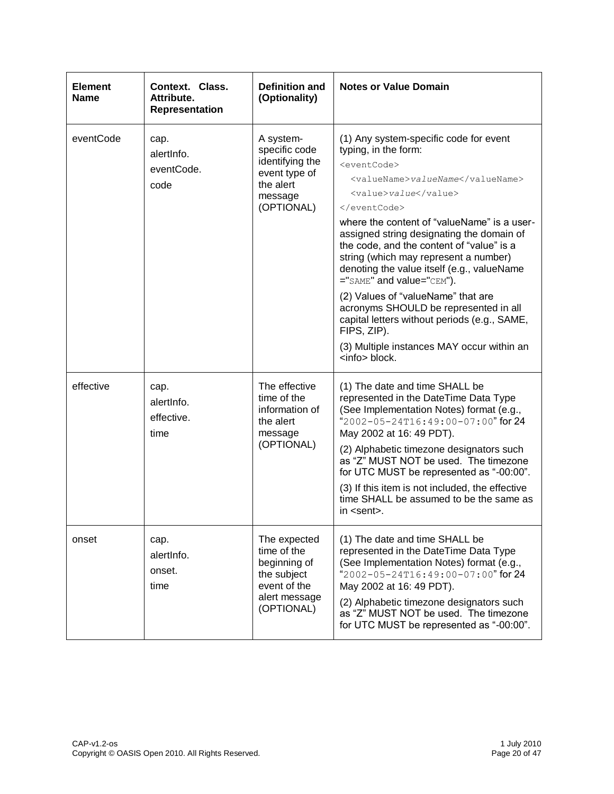| <b>Element</b><br><b>Name</b> | Context. Class.<br>Attribute.<br><b>Representation</b> | <b>Definition and</b><br>(Optionality)                                                                    | <b>Notes or Value Domain</b>                                                                                                                                                                                                                                                                                                                                                                                                                                                                                                                                                                                                                  |
|-------------------------------|--------------------------------------------------------|-----------------------------------------------------------------------------------------------------------|-----------------------------------------------------------------------------------------------------------------------------------------------------------------------------------------------------------------------------------------------------------------------------------------------------------------------------------------------------------------------------------------------------------------------------------------------------------------------------------------------------------------------------------------------------------------------------------------------------------------------------------------------|
| eventCode                     | cap.<br>alertInfo.<br>eventCode.<br>code               | A system-<br>specific code<br>identifying the<br>event type of<br>the alert<br>message<br>(OPTIONAL)      | (1) Any system-specific code for event<br>typing, in the form:<br><eventcode><br/><valuename>valueName</valuename><br/><value>value</value><br/></eventcode><br>where the content of "valueName" is a user-<br>assigned string designating the domain of<br>the code, and the content of "value" is a<br>string (which may represent a number)<br>denoting the value itself (e.g., valueName<br>="SAME" and value="CEM").<br>(2) Values of "valueName" that are<br>acronyms SHOULD be represented in all<br>capital letters without periods (e.g., SAME,<br>FIPS, ZIP).<br>(3) Multiple instances MAY occur within an<br><info> block.</info> |
| effective                     | cap.<br>alertinfo.<br>effective.<br>time               | The effective<br>time of the<br>information of<br>the alert<br>message<br>(OPTIONAL)                      | (1) The date and time SHALL be<br>represented in the DateTime Data Type<br>(See Implementation Notes) format (e.g.,<br>"2002-05-24T16:49:00-07:00" for 24<br>May 2002 at 16: 49 PDT).<br>(2) Alphabetic timezone designators such<br>as "Z" MUST NOT be used. The timezone<br>for UTC MUST be represented as "-00:00".<br>(3) If this item is not included, the effective<br>time SHALL be assumed to be the same as<br>in <sent>.</sent>                                                                                                                                                                                                     |
| onset                         | cap.<br>alertinfo.<br>onset.<br>time                   | The expected<br>time of the<br>beginning of<br>the subject<br>event of the<br>alert message<br>(OPTIONAL) | (1) The date and time SHALL be<br>represented in the DateTime Data Type<br>(See Implementation Notes) format (e.g.,<br>"2002-05-24T16:49:00-07:00" for 24<br>May 2002 at 16: 49 PDT).<br>(2) Alphabetic timezone designators such<br>as "Z" MUST NOT be used. The timezone<br>for UTC MUST be represented as "-00:00".                                                                                                                                                                                                                                                                                                                        |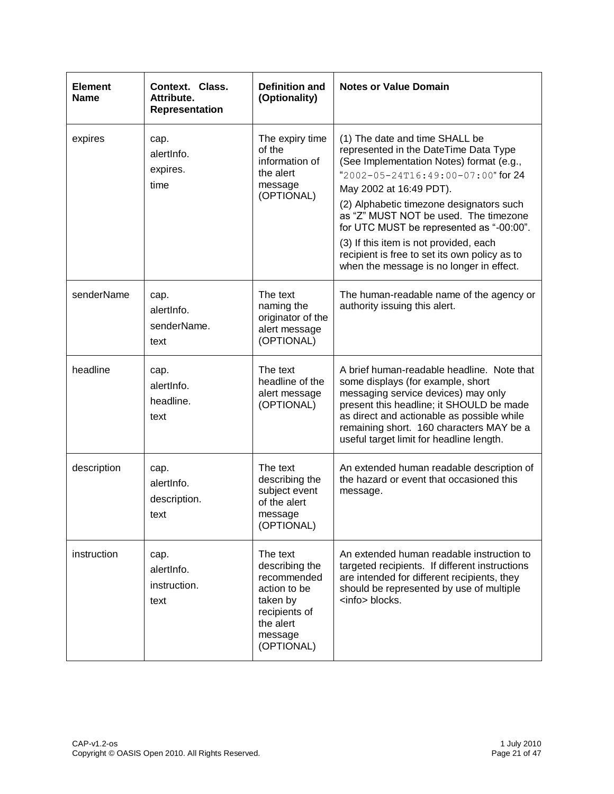| <b>Element</b><br><b>Name</b> | Context. Class.<br>Attribute.<br><b>Representation</b> | <b>Definition and</b><br>(Optionality)                                                                                       | <b>Notes or Value Domain</b>                                                                                                                                                                                                                                                                                                                                                                                                                                 |
|-------------------------------|--------------------------------------------------------|------------------------------------------------------------------------------------------------------------------------------|--------------------------------------------------------------------------------------------------------------------------------------------------------------------------------------------------------------------------------------------------------------------------------------------------------------------------------------------------------------------------------------------------------------------------------------------------------------|
| expires                       | cap.<br>alertinfo.<br>expires.<br>time                 | The expiry time<br>of the<br>information of<br>the alert<br>message<br>(OPTIONAL)                                            | (1) The date and time SHALL be<br>represented in the DateTime Data Type<br>(See Implementation Notes) format (e.g.,<br>"2002-05-24T16:49:00-07:00" for 24<br>May 2002 at 16:49 PDT).<br>(2) Alphabetic timezone designators such<br>as "Z" MUST NOT be used. The timezone<br>for UTC MUST be represented as "-00:00".<br>(3) If this item is not provided, each<br>recipient is free to set its own policy as to<br>when the message is no longer in effect. |
| senderName                    | cap.<br>alertinfo.<br>senderName.<br>text              | The text<br>naming the<br>originator of the<br>alert message<br>(OPTIONAL)                                                   | The human-readable name of the agency or<br>authority issuing this alert.                                                                                                                                                                                                                                                                                                                                                                                    |
| headline                      | cap.<br>alertinfo.<br>headline.<br>text                | The text<br>headline of the<br>alert message<br>(OPTIONAL)                                                                   | A brief human-readable headline. Note that<br>some displays (for example, short<br>messaging service devices) may only<br>present this headline; it SHOULD be made<br>as direct and actionable as possible while<br>remaining short. 160 characters MAY be a<br>useful target limit for headline length.                                                                                                                                                     |
| description                   | cap.<br>alertinfo.<br>description.<br>text             | The text<br>describing the<br>subject event<br>of the alert<br>message<br>(OPTIONAL)                                         | An extended human readable description of<br>the hazard or event that occasioned this<br>message.                                                                                                                                                                                                                                                                                                                                                            |
| instruction                   | cap.<br>alertInfo.<br>instruction.<br>text             | The text<br>describing the<br>recommended<br>action to be<br>taken by<br>recipients of<br>the alert<br>message<br>(OPTIONAL) | An extended human readable instruction to<br>targeted recipients. If different instructions<br>are intended for different recipients, they<br>should be represented by use of multiple<br><info> blocks.</info>                                                                                                                                                                                                                                              |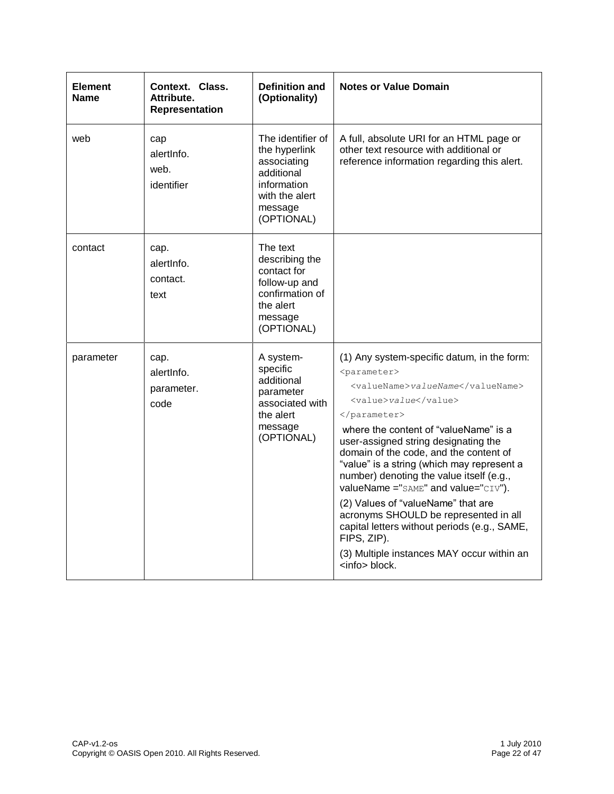| <b>Element</b><br>Name | Context. Class.<br>Attribute.<br>Representation | <b>Definition and</b><br>(Optionality)                                                                                    | <b>Notes or Value Domain</b>                                                                                                                                                                                                                                                                                                                                                                                                                                                                                                                                                                                              |
|------------------------|-------------------------------------------------|---------------------------------------------------------------------------------------------------------------------------|---------------------------------------------------------------------------------------------------------------------------------------------------------------------------------------------------------------------------------------------------------------------------------------------------------------------------------------------------------------------------------------------------------------------------------------------------------------------------------------------------------------------------------------------------------------------------------------------------------------------------|
| web                    | cap<br>alertinfo.<br>web.<br>identifier         | The identifier of<br>the hyperlink<br>associating<br>additional<br>information<br>with the alert<br>message<br>(OPTIONAL) | A full, absolute URI for an HTML page or<br>other text resource with additional or<br>reference information regarding this alert.                                                                                                                                                                                                                                                                                                                                                                                                                                                                                         |
| contact                | cap.<br>alertinfo.<br>contact.<br>text          | The text<br>describing the<br>contact for<br>follow-up and<br>confirmation of<br>the alert<br>message<br>(OPTIONAL)       |                                                                                                                                                                                                                                                                                                                                                                                                                                                                                                                                                                                                                           |
| parameter              | cap.<br>alertinfo.<br>parameter.<br>code        | A system-<br>specific<br>additional<br>parameter<br>associated with<br>the alert<br>message<br>(OPTIONAL)                 | (1) Any system-specific datum, in the form:<br><parameter><br/><valuename>valueName</valuename><br/><value>value</value><br/></parameter><br>where the content of "valueName" is a<br>user-assigned string designating the<br>domain of the code, and the content of<br>"value" is a string (which may represent a<br>number) denoting the value itself (e.g.,<br>valueName ="SAME" and value="CIV").<br>(2) Values of "valueName" that are<br>acronyms SHOULD be represented in all<br>capital letters without periods (e.g., SAME,<br>FIPS, ZIP).<br>(3) Multiple instances MAY occur within an<br><info> block.</info> |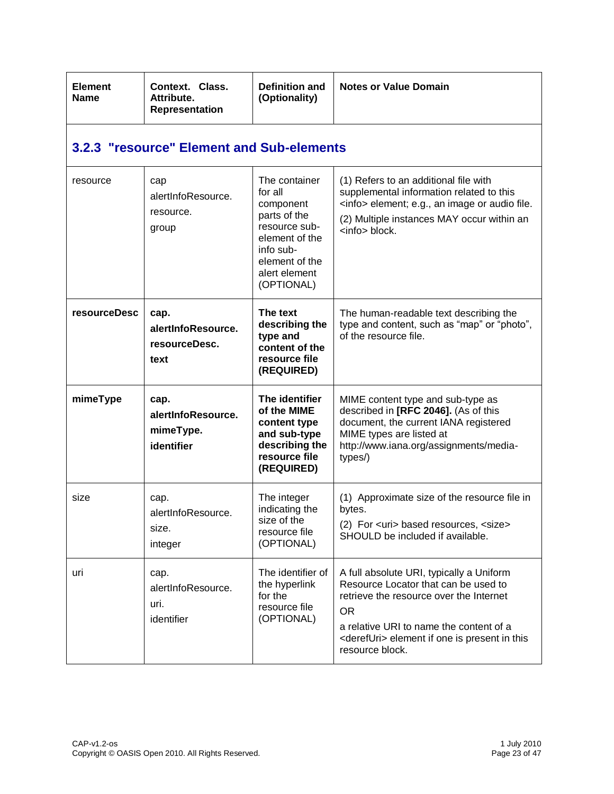| <b>Element</b><br><b>Name</b> | Context. Class.<br>Attribute.<br><b>Representation</b> | <b>Definition and</b><br>(Optionality)                                                                                                                 | <b>Notes or Value Domain</b>                                                                                                                                                                                                                                 |
|-------------------------------|--------------------------------------------------------|--------------------------------------------------------------------------------------------------------------------------------------------------------|--------------------------------------------------------------------------------------------------------------------------------------------------------------------------------------------------------------------------------------------------------------|
|                               | 3.2.3 "resource" Element and Sub-elements              |                                                                                                                                                        |                                                                                                                                                                                                                                                              |
| resource                      | cap<br>alertInfoResource.<br>resource.<br>group        | The container<br>for all<br>component<br>parts of the<br>resource sub-<br>element of the<br>info sub-<br>element of the<br>alert element<br>(OPTIONAL) | (1) Refers to an additional file with<br>supplemental information related to this<br><info> element; e.g., an image or audio file.<br/>(2) Multiple instances MAY occur within an<br/><info> block.</info></info>                                            |
| resourceDesc                  | cap.<br>alertInfoResource.<br>resourceDesc.<br>text    | The text<br>describing the<br>type and<br>content of the<br>resource file<br>(REQUIRED)                                                                | The human-readable text describing the<br>type and content, such as "map" or "photo",<br>of the resource file.                                                                                                                                               |
| mimeType                      | cap.<br>alertInfoResource.<br>mimeType.<br>identifier  | The identifier<br>of the MIME<br>content type<br>and sub-type<br>describing the<br>resource file<br>(REQUIRED)                                         | MIME content type and sub-type as<br>described in [RFC 2046]. (As of this<br>document, the current IANA registered<br>MIME types are listed at<br>http://www.iana.org/assignments/media-<br>types/)                                                          |
| size                          | cap.<br>alertInfoResource.<br>size.<br>integer         | The integer<br>indicating the<br>size of the<br>resource file<br>(OPTIONAL)                                                                            | (1) Approximate size of the resource file in<br>bytes.<br>(2) For <uri> based resources, <size><br/>SHOULD be included if available.</size></uri>                                                                                                            |
| uri                           | cap.<br>alertInfoResource.<br>uri.<br>identifier       | The identifier of<br>the hyperlink<br>for the<br>resource file<br>(OPTIONAL)                                                                           | A full absolute URI, typically a Uniform<br>Resource Locator that can be used to<br>retrieve the resource over the Internet<br>OR.<br>a relative URI to name the content of a<br><derefuri> element if one is present in this<br/>resource block.</derefuri> |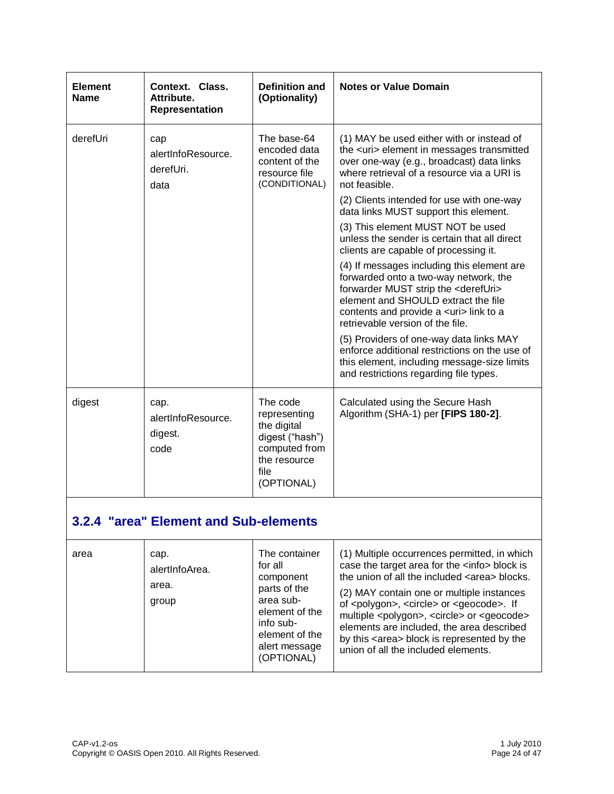| <b>Element</b><br><b>Name</b>         | Context. Class.<br>Attribute.<br>Representation | <b>Definition and</b><br>(Optionality)                                                                            | <b>Notes or Value Domain</b>                                                                                                                                                                                                                                        |
|---------------------------------------|-------------------------------------------------|-------------------------------------------------------------------------------------------------------------------|---------------------------------------------------------------------------------------------------------------------------------------------------------------------------------------------------------------------------------------------------------------------|
| derefUri                              | cap<br>alertInfoResource.<br>derefUri.<br>data  | The base-64<br>encoded data<br>content of the<br>resource file<br>(CONDITIONAL)                                   | (1) MAY be used either with or instead of<br>the <uri> element in messages transmitted<br/>over one-way (e.g., broadcast) data links<br/>where retrieval of a resource via a URI is<br/>not feasible.</uri>                                                         |
|                                       |                                                 |                                                                                                                   | (2) Clients intended for use with one-way<br>data links MUST support this element.                                                                                                                                                                                  |
|                                       |                                                 |                                                                                                                   | (3) This element MUST NOT be used<br>unless the sender is certain that all direct<br>clients are capable of processing it.                                                                                                                                          |
|                                       |                                                 |                                                                                                                   | (4) If messages including this element are<br>forwarded onto a two-way network, the<br>forwarder MUST strip the <derefuri><br/>element and SHOULD extract the file<br/>contents and provide a <uri> link to a<br/>retrievable version of the file.</uri></derefuri> |
|                                       |                                                 |                                                                                                                   | (5) Providers of one-way data links MAY<br>enforce additional restrictions on the use of<br>this element, including message-size limits<br>and restrictions regarding file types.                                                                                   |
| digest                                | cap.<br>alertInfoResource.<br>digest.<br>code   | The code<br>representing<br>the digital<br>digest ("hash")<br>computed from<br>the resource<br>file<br>(OPTIONAL) | Calculated using the Secure Hash<br>Algorithm (SHA-1) per [FIPS 180-2].                                                                                                                                                                                             |
| 3.2.4 "area" Element and Sub-elements |                                                 |                                                                                                                   |                                                                                                                                                                                                                                                                     |

| area | cap.<br>alertInfoArea.<br>area.<br>group | The container<br>for all<br>component<br>parts of the<br>area sub-<br>element of the<br>info sub-<br>element of the<br>alert message<br>(OPTIONAL) | (1) Multiple occurrences permitted, in which<br>case the target area for the <info> block is<br/>the union of all the included <area/> blocks.<br/>(2) MAY contain one or multiple instances<br/>of <polygon>, <circle> or <geocode>. If<br/>multiple <polygon>, <circle> or <geocode><br/>elements are included, the area described<br/>by this <area/> block is represented by the<br/>union of all the included elements.</geocode></circle></polygon></geocode></circle></polygon></info> |
|------|------------------------------------------|----------------------------------------------------------------------------------------------------------------------------------------------------|-----------------------------------------------------------------------------------------------------------------------------------------------------------------------------------------------------------------------------------------------------------------------------------------------------------------------------------------------------------------------------------------------------------------------------------------------------------------------------------------------|
|------|------------------------------------------|----------------------------------------------------------------------------------------------------------------------------------------------------|-----------------------------------------------------------------------------------------------------------------------------------------------------------------------------------------------------------------------------------------------------------------------------------------------------------------------------------------------------------------------------------------------------------------------------------------------------------------------------------------------|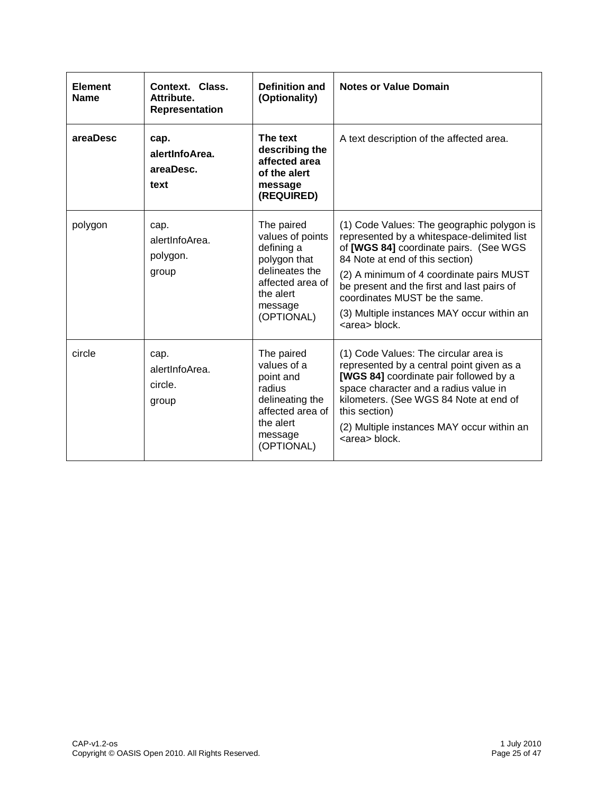| <b>Element</b><br><b>Name</b> | Context. Class.<br>Attribute.<br><b>Representation</b> | <b>Definition and</b><br>(Optionality)                                                                                                   | <b>Notes or Value Domain</b>                                                                                                                                                                                                                                                                                                                                     |
|-------------------------------|--------------------------------------------------------|------------------------------------------------------------------------------------------------------------------------------------------|------------------------------------------------------------------------------------------------------------------------------------------------------------------------------------------------------------------------------------------------------------------------------------------------------------------------------------------------------------------|
| areaDesc                      | cap.<br>alertInfoArea.<br>areaDesc.<br>text            | The text<br>describing the<br>affected area<br>of the alert<br>message<br>(REQUIRED)                                                     | A text description of the affected area.                                                                                                                                                                                                                                                                                                                         |
| polygon                       | cap.<br>alertInfoArea.<br>polygon.<br>group            | The paired<br>values of points<br>defining a<br>polygon that<br>delineates the<br>affected area of<br>the alert<br>message<br>(OPTIONAL) | (1) Code Values: The geographic polygon is<br>represented by a whitespace-delimited list<br>of [WGS 84] coordinate pairs. (See WGS<br>84 Note at end of this section)<br>(2) A minimum of 4 coordinate pairs MUST<br>be present and the first and last pairs of<br>coordinates MUST be the same.<br>(3) Multiple instances MAY occur within an<br><area/> block. |
| circle                        | cap.<br>alertInfoArea.<br>circle.<br>group             | The paired<br>values of a<br>point and<br>radius<br>delineating the<br>affected area of<br>the alert<br>message<br>(OPTIONAL)            | (1) Code Values: The circular area is<br>represented by a central point given as a<br>[WGS 84] coordinate pair followed by a<br>space character and a radius value in<br>kilometers. (See WGS 84 Note at end of<br>this section)<br>(2) Multiple instances MAY occur within an<br><area/> block.                                                                 |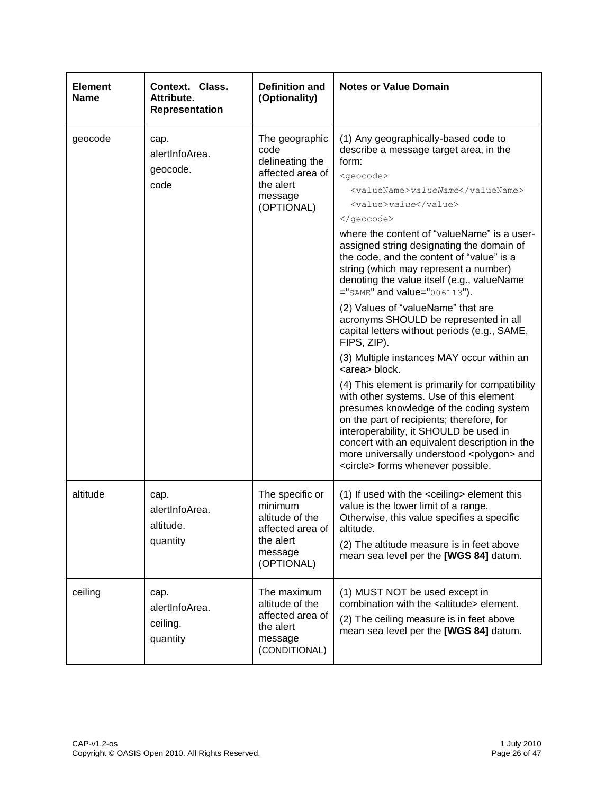| <b>Element</b><br><b>Name</b> | Context. Class.<br>Attribute.<br><b>Representation</b> | <b>Definition and</b><br>(Optionality)                                                                  | <b>Notes or Value Domain</b>                                                                                                                                                                                                                                                                                                                                                                                                                                                                                                                                                                                                                                                                                                                                                                                                                                                                                                                                                                                                                              |
|-------------------------------|--------------------------------------------------------|---------------------------------------------------------------------------------------------------------|-----------------------------------------------------------------------------------------------------------------------------------------------------------------------------------------------------------------------------------------------------------------------------------------------------------------------------------------------------------------------------------------------------------------------------------------------------------------------------------------------------------------------------------------------------------------------------------------------------------------------------------------------------------------------------------------------------------------------------------------------------------------------------------------------------------------------------------------------------------------------------------------------------------------------------------------------------------------------------------------------------------------------------------------------------------|
| geocode                       | cap.<br>alertInfoArea.<br>geocode.<br>code             | The geographic<br>code<br>delineating the<br>affected area of<br>the alert<br>message<br>(OPTIONAL)     | (1) Any geographically-based code to<br>describe a message target area, in the<br>form:<br><geocode><br/><valuename>valueName</valuename><br/><value>value</value><br/></geocode><br>where the content of "valueName" is a user-<br>assigned string designating the domain of<br>the code, and the content of "value" is a<br>string (which may represent a number)<br>denoting the value itself (e.g., valueName<br>$=$ "SAME" and value="006113").<br>(2) Values of "valueName" that are<br>acronyms SHOULD be represented in all<br>capital letters without periods (e.g., SAME,<br>FIPS, ZIP).<br>(3) Multiple instances MAY occur within an<br><area/> block.<br>(4) This element is primarily for compatibility<br>with other systems. Use of this element<br>presumes knowledge of the coding system<br>on the part of recipients; therefore, for<br>interoperability, it SHOULD be used in<br>concert with an equivalent description in the<br>more universally understood <polygon> and<br/><circle> forms whenever possible.</circle></polygon> |
| altitude                      | cap.<br>alertInfoArea.<br>altitude.<br>quantity        | The specific or<br>minimum<br>altitude of the<br>affected area of<br>the alert<br>message<br>(OPTIONAL) | (1) If used with the <ceiling> element this<br/>value is the lower limit of a range.<br/>Otherwise, this value specifies a specific<br/>altitude.<br/>(2) The altitude measure is in feet above<br/>mean sea level per the [WGS 84] datum.</ceiling>                                                                                                                                                                                                                                                                                                                                                                                                                                                                                                                                                                                                                                                                                                                                                                                                      |
| ceiling                       | cap.<br>alertInfoArea.<br>ceiling.<br>quantity         | The maximum<br>altitude of the<br>affected area of<br>the alert<br>message<br>(CONDITIONAL)             | (1) MUST NOT be used except in<br>combination with the <altitude> element.<br/>(2) The ceiling measure is in feet above<br/>mean sea level per the [WGS 84] datum.</altitude>                                                                                                                                                                                                                                                                                                                                                                                                                                                                                                                                                                                                                                                                                                                                                                                                                                                                             |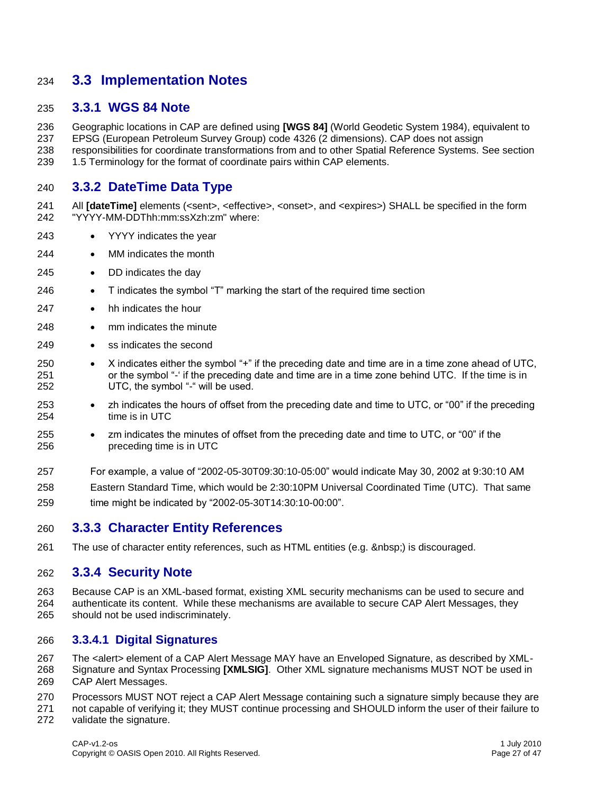#### **3.3 Implementation Notes**

#### **3.3.1 WGS 84 Note**

 Geographic locations in CAP are defined using **[WGS 84]** (World Geodetic System 1984), equivalent to EPSG (European Petroleum Survey Group) code 4326 (2 dimensions). CAP does not assign responsibilities for coordinate transformations from and to other Spatial Reference Systems. See section 1.5 Terminology for the format of coordinate pairs within CAP elements.

#### **3.3.2 DateTime Data Type**

- 241 All **[dateTime]** elements (<sent>, <effective>, <onset>, and <expires>) SHALL be specified in the form "YYYY-MM-DDThh:mm:ssXzh:zm" where:
- YYYY indicates the year
- MM indicates the month
- DD indicates the day
- T indicates the symbol "T" marking the start of the required time section
- hh indicates the hour
- 248 mm indicates the minute
- 249 ss indicates the second
- 250 X indicates either the symbol "+" if the preceding date and time are in a time zone ahead of UTC, or the symbol "-" if the preceding date and time are in a time zone behind UTC. If the time is in UTC, the symbol "-" will be used.
- **•** zh indicates the hours of offset from the preceding date and time to UTC, or "00" if the preceding time is in UTC
- zm indicates the minutes of offset from the preceding date and time to UTC, or "00" if the preceding time is in UTC
- For example, a value of "2002-05-30T09:30:10-05:00" would indicate May 30, 2002 at 9:30:10 AM
- Eastern Standard Time, which would be 2:30:10PM Universal Coordinated Time (UTC). That same time might be indicated by "2002-05-30T14:30:10-00:00".

#### **3.3.3 Character Entity References**

261 The use of character entity references, such as HTML entities (e.g. ) is discouraged.

#### **3.3.4 Security Note**

 Because CAP is an XML-based format, existing XML security mechanisms can be used to secure and authenticate its content. While these mechanisms are available to secure CAP Alert Messages, they should not be used indiscriminately.

#### **3.3.4.1 Digital Signatures**

 The <alert> element of a CAP Alert Message MAY have an Enveloped Signature, as described by XML- Signature and Syntax Processing **[XMLSIG]**. Other XML signature mechanisms MUST NOT be used in CAP Alert Messages.

- Processors MUST NOT reject a CAP Alert Message containing such a signature simply because they are not capable of verifying it; they MUST continue processing and SHOULD inform the user of their failure to
- validate the signature.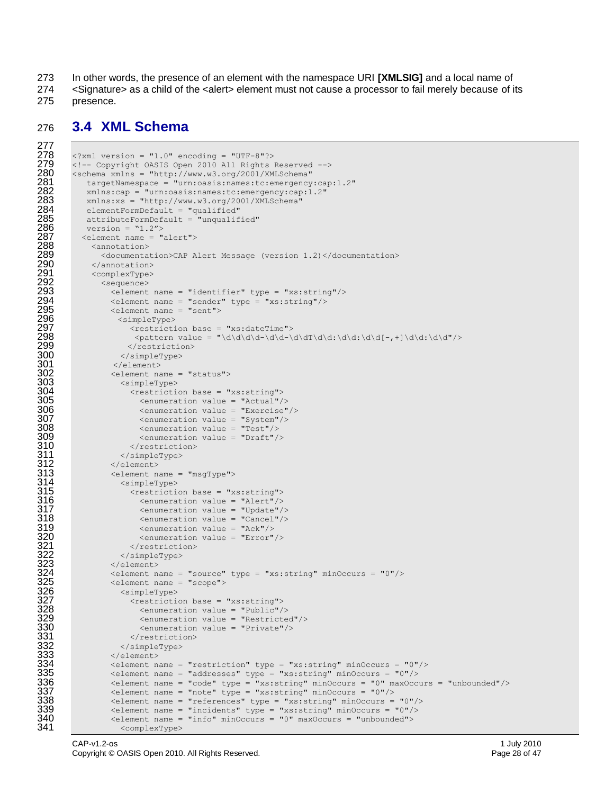273 In other words, the presence of an element with the namespace URI **[XMLSIG]** and a local name of

274 <Signature> as a child of the <alert> element must not cause a processor to fail merely because of its 275 presence.

#### 276 **3.4 XML Schema**

```
277
278 <?xml version = "1.0" encoding = "UTF-8"?><br>279 <!-- Copyright OASIS Open 2010 All Rights
279 \leq - Copyright OASIS Open 2010 All Rights Reserved --> 280 \leq schema xmlns = "http://www.w3.org/2001/XMLSchema"
280 <schema xmlns = "http://www.w3.org/2001/XMLSchema"<br>281 targetNamespace = "urn:oasis:names:tc:emergency
281 targetNamespace = "urn:oasis:names:tc:emergency:cap:1.2"<br>282 mmlns:cap = "urn:oasis:names:tc:emergency:cap:1.2"
282 xmlns:cap = "urn:oasis:names:tc:emergency:cap:1.2"<br>283 xmlns:xs = "http://www.w3.org/2001/XMLSchema"
283 xmlns:xs = "http://www.w3.org/2001/XMLSchema"<br>284 elementFormDefault = "qualified"
284 elementFormDefault = "qualified"<br>285 attributeFormDefault = "unqualif
285 attributeFormDefault = "unqualified"<br>286 version = \text{``1.2''>}286 version = 1.2"<br>287 <element name = "287 <element name = "alert"><br>288 <annotation>
288 <annotation><br>289 <documenta
289 <documentation>CAP Alert Message (version 1.2)</documentation>
290 </annotation><br>291 <complexType>
291 <complexType><br>292 <sequence>
292 <sequence>
293 <element name = "identifier" type = "xs:string"/>
294 <element name = "sender" type = "xs:string"/><br>295 <element name = "sent">
295 <element name = "sent"><br>296 <simpleType><br>297 <restriction base =
                      296 <simpleType>
297 \leq \leq \leq \leq \leq \leq \leq \leq \leq \leq \leq \leq \leq \leq \leq \leq \leq \leq \leq \leq \leq \leq \leq \leq \leq \leq \leq \leq \leq \leq \leq \leq \leq \leq \leq \leq298 \langlepattern value = "\d\d\d\d-\d\d-\d\dT\d\d:\d\d:\d\d[-,+]\d\d:\d\d"/><br>299 \langle/restriction>
299 </restriction><br>300 </simpleType>
300 </simpleType><br>301 </element>
301 </element>
302 <element name = "status"><br>303 <simpleType>
303 <simpleType><br>304 <restriction
304 <restriction base = "xs:string">
305 <enumeration value = "Actual"/><br>306 <enumeration value = "Exercise"
306 <enumeration value = "Exercise"/>
307 <enumeration value = "System"/><br>308 <enumeration value = "Test"/>
308 <enumeration value = "Test"/><br>309 <enumeration value = "Draft"/
309 <enumeration value = "Draft"/><br>310 </restriction>
310 </restriction><br>311 </simpleType>
311 </simpleType><br>312 </simpleType>
312 </element><br>313 <element n
313 <element name = "msgType"><br>314 <simpleType>
314 <simpleType><br>315 <restriction
315 <restriction base = "xs:string"><br>316 <enumeration value = "Alert"/>
316 <enumeration value = "Alert"/><br>317 <enumeration value = "Update"/<br>318 <enumeration value = "Cancel"/<br>319 <enumeration value = "Ack"/>
                            317 <enumeration value = "Update"/>
                            318 <enumeration value = "Cancel"/>
319 <enumeration value = "Ack"/><br>320 <enumeration value = "Error"<br>321 </restriction>
                             320 <enumeration value = "Error"/>
321 </restriction><br>322 </restriction>
322 </simpleType><br>323 </simpleType>
323 </element>
                     324 <element name = "source" type = "xs:string" minOccurs = "0"/>
325 <element name = "scope"><br>326 <simpleType><br>327 <restriction base =
                       326 <simpleType>
327 <restriction base = "xs:string">
                             328 <enumeration value = "Public"/>
329 <enumeration value = "Restricted"/><br>330 <enumeration value = "Private"/>
330 <enumeration value = "Private"/><br>331 </restriction>
331 </restriction><br>332 </restriction>
332 </simpleType><br>333 </simpleType>
333 </element><br>334 <element n
334 <element name = "restriction" type = "xs:string" minOccurs = "0"/><br>335 <element name = "addresses" type = "xs:string" minOccurs = "0"/>
335 <element name = "addresses" type = "xs:string" minOccurs = "0"/>
336 <element name = "code" type = "xs:string" minOccurs = "0" maxOccurs = "unbounded"/>
337 <element name = "note" type = "xs:string" minOccurs = "0"/>
338 <element name = "references" type = "xs:string" minOccurs = "0"/>
339 \leq \leq \leq \leq \leq \leq \leq \leq \leq \leq \leq \leq \leq \leq \leq \leq \leq \leq \leq \leq \leq \leq \leq \leq \leq \leq \leq \leq \leq \leq \leq \leq \leq \leq \leq \leq340 <element name = "info" minOccurs = "0" maxOccurs = "unbounded"><br>341 <complexTvpe>
                       341 <complexType>
```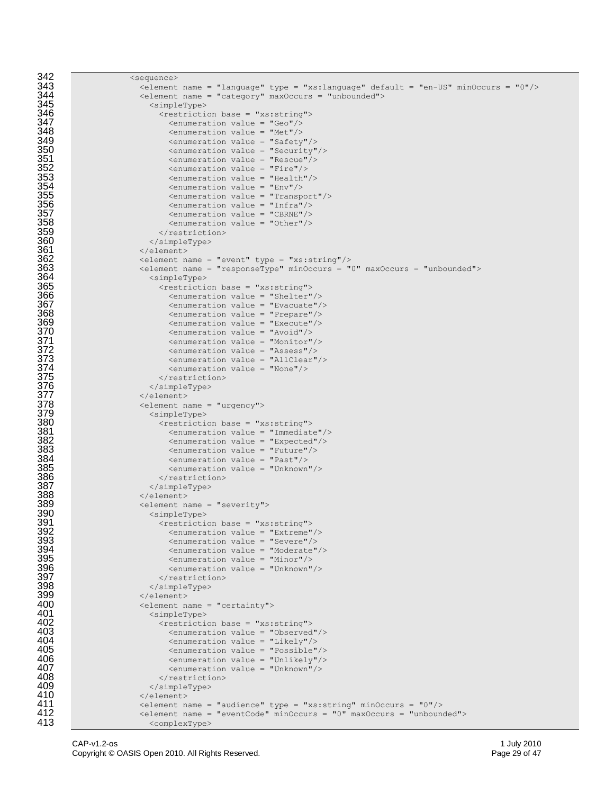```
342 <sequence><br>343 <sequence>
343 <element name = "language" type = "xs:language" default = "en-US" minOccurs = "0"/>
344 <element name = "category" maxOccurs = "unbounded"><br>345 <simpleType>
345 <simpleType>
346 <restriction base = "xs:string">
347 <enumeration value = "Geo"/><br>348 <enumeration value = "Met"/>
348 <enumeration value = "Met"/><br>349 <enumeration value = "Safety<br>350 <enumeration value = "Securi<br>351 <enumeration value = "Rescue<br>352 <enumeration value = "Fire"/<br>353 <enumeration value = "Health
                               \leqenumeration value = "Safety"/>
                               350 <enumeration value = "Security"/>
                               \leq \leq \leq \leq \leq \leq \leq \leq \leq \leq \leq \leq \leq \leq \leq \leq \leq \leq \leq \leq \leq \leq \leq \leq \leq \leq \leq \leq \leq \leq \leq \leq \leq \leq \leq \leq \leq\epsilon <enumeration value = "Fire"/>
353 <enumeration value = "Health"/><br>354 <enumeration value = "Env"/>
354 <enumeration value = "Env"/><br>355 <enumeration value = "Transp<br>356 <enumeration value = "Infra"<br>357 <enumeration value = "CBRNE"
                               355 <enumeration value = "Transport"/>
                               356 <enumeration value = "Infra"/>
357 <enumeration value = "CBRNE"/><br>358 <enumeration value = "Other"/><br>359 </restriction>
                               358 <enumeration value = "Other"/>
359 </restriction>
360 </simpleType>
361 </element>
362 <element name = "event" type = "xs:string"/><br>363 <element name = "responseType" minOccurs = "
363 <element name = "responseType" minOccurs = "0" maxOccurs = "unbounded">
364 <simpleType>
365 <restriction base = "xs:string">
366 <enumeration value = "Shelter"/>
367 <enumeration value = "Evacuate"/><br>368 <enumeration value = "Prepare"/>
368 <enumeration value = "Prepare"/><br>369 <enumeration value = "Execute"/>
369 <enumeration value = "Execute"/><br>370 <enumeration value = "Avoid"/><br>371 <enumeration value = "Monitor"/><br>372 <enumeration value = "Assess"/><br>373 <enumeration value = "AllClear"/<br>375 </enumeration value = "None"/><br>375 <
                               \leq \leq \leq \leq \leq \leq \leq \leq \leq \leq \leq \leq \leq \leq \leq \leq \leq \leq \leq \leq \leq \leq \leq \leq \leq \leq \leq \leq \leq \leq \leq \leq \leq \leq \leq \leq \leq371 <enumeration value = "Monitor"/>
                               372 <enumeration value = "Assess"/>
                               373 <enumeration value = "AllClear"/>
                               \epsilon <enumeration value = "None"/>
                             </restriction>
                           376 </simpleType>
377 </element>
                        378 <element name = "urgency">
379 <simpleType>
380 <restriction base = "xs:string">
                               \frac{3}{2} <enumeration value = "Immediate"/>
382 <enumeration value = "Expected"/>
383 <enumeration value = "Future"/><br>384 <enumeration value = "Past"/>
384 <enumeration value = "Past"/><br>385 <enumeration value = "Unknown"
385 <enumeration value = "Unknown"/><br>386 </restriction>
386 </restriction>
387 </simpleType>
388 </element>
389 <element name = "severity">
390 <simpleType><br>391 <simpleType>
391 <restriction base = "xs:string">
392 <enumeration value = "Extreme"/><br>393 <enumeration value = "Severe"/>
393 <enumeration value = "Severe"/><br>394 <enumeration value = "Moderate"
394 <enumeration value = "Moderate"/>
395 <enumeration value = "Minor"/><br>396 <enumeration value = "Unknown"
396 <enumeration value = "Unknown"/>
397 </restriction>
398 </simpleType>
399 </element><br>400 </element n
400 <element name = "certainty"><br>401 <simpleType>
401 <simpleType>
402 <restriction base = "xs:string">
403 <enumeration value = "Observed"/>
404 <enumeration value = "Likely"/><br>405 <enumeration value = "Possible"
405 <enumeration value = "Possible"/><br>406 <enumeration value = "Unlikely"/>
406 <enumeration value = "Unlikely"/><br>407 <enumeration value = "Unknown"/>
407 <enumeration value = "Unknown"/><br>408 </restriction>
408 </restriction><br>409 </restriction>
409 </simpleType>
410 </element>
411 <element name = "audience" type = "xs:string" minOccurs = "0"/>
412 <element name = "eventCode" minOccurs = "0" maxOccurs = "unbounded"><br>413 <complexType>
                           <complexType>
```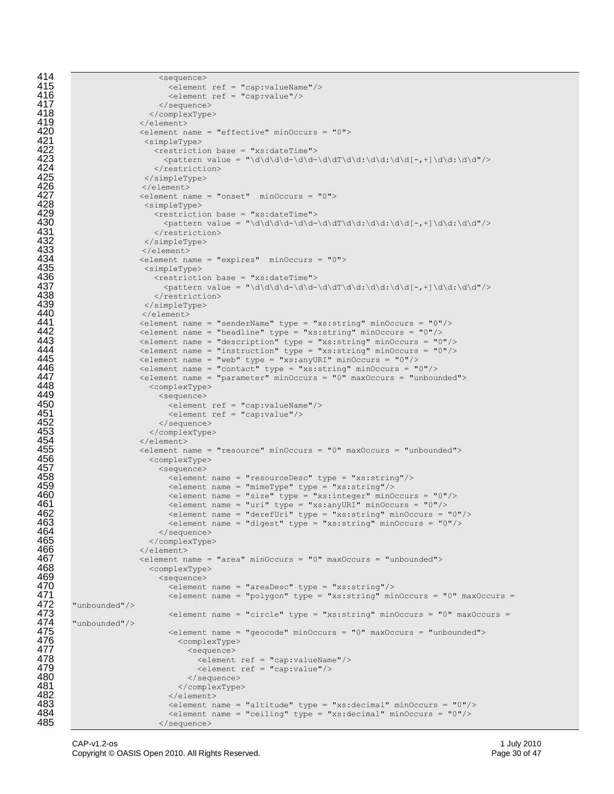```
414 <sequence><br>415 <sequence>
415 <element ref = "cap:valueName"/><br>416 <element ref = "cap:value"/>
416 <element ref = "cap:value"/><br>417 </sequence>
417 </sequence>
418 </complexType><br>419 </clement>
419 </element>
420 <element name = "effective" minOccurs = "0">
                             421 <simpleType>
                                422 <restriction base = "xs:dateTime">
                                   \label{eq:2} $$\phi = \d\ddot{d}d-\ddot{d}d-\ddot{d}d\ddot{d}d\ddot{d}d\ddot{d}d\ddot{d}d\ddot{d}d\ddot{d}d\ddot{d}d\ddot{d}d\ddot{d}d\ddot{d}d\ddot{d}d\ddot{d}d\ddot{d}d\ddot{d}d\ddot{d}d\ddot{d}d\ddot{d}d\ddot{d}d\ddot{d}d\ddot{d}d\ddot{d}d\ddot{d}d\ddot{d}d\ddot{d}d\ddot{d}d\ddot{d}d\ddot{424 </restriction>
425 </simpleType><br>426 </simpleType><br>427 </simpleType>
                             426 </element>
                            \epsilonelement name = "onset" minOccurs = "0">
428 <simpleType><br>429 <water.com/
429 <br>
\leftarrow <br>
430 <br>
\leftarrow <br>
431 <br>
\leftarrow <br>
\leftarrow <br>
\leftarrow <br>
\leftarrow <br>
\leftarrow <br>
\leftarrow <br>
\leftarrow <br>
\leftarrow <br>
\leftarrow <br>
\leftarrow <br>
\leftarrow <br>
\leftarrow <br>
\leftarrow <br>
\leftarrow <br>
\leftarrow <br>
\leftarrow <br>
\leftarrow <br>
\leftarrow <br>
\leftarrow <br>
\leftarrow <br>
\leftarrow <br>
\leftarrow <br>
\leftarrow <br>
\left430 <pattern value = "\d\d\d\d-\d\d-\d\dT\d\d:\d\d:\d\d[-,+]\d\d:\d\d"/>
                                </restriction>
                             432 </simpleType>
433 </element>
434 <element name = "expires" minOccurs = "0">
435 <simpleType>
436 <restriction base = "xs:dateTime"><br>437 <pattern value = "\d\d\d-\d\d-<br>438 </restriction>
                                   \label{eq:2} $$\phi = \d\ddot{d}d-\ddot{d}d-\ddot{d}d\ddot{d}d\ddot{d}d\ddot{d}d\ddot{d}d\ddot{d}d\ddot{d}d\ddot{d}d\ddot{d}d\ddot{d}d\ddot{d}d\ddot{d}d\ddot{d}d\ddot{d}d\ddot{d}d\ddot{d}d\ddot{d}d\ddot{d}d\ddot{d}d\ddot{d}d\ddot{d}d\ddot{d}d\ddot{d}d\ddot{d}d\ddot{d}d\ddot{d}d\ddot{d}d\ddot{438 </restriction><br>439 </restriction>
439 </simpleType><br>440 </simpleType>
440 </element><br>441 <element na
441 <element name = "senderName" type = "xs:string" minOccurs = "0"/>
442 <element name = "headline" type = "xs:string" minOccurs = "0"/><br>443 <element name = "description" type = "xs:string" minOccurs = "0"/>
443 <element name = "description" type = "xs:string" minOccurs = "0"/><br>444 <element name = "instruction" type = "xs:string" minOccurs = "0"/>
444 \leq \leq \leq \leq \leq \leq \leq \leq \leq \leq \leq \leq \leq \leq \leq \leq \leq \leq \leq \leq \leq \leq \leq \leq \leq \leq \leq \leq \leq \leq \leq \leq \leq \leq \leq \leq 445 <element name = "web" type = "xs:anyURI" minOccurs = "0"/>
446 <element name = "contact" type = "xs:string" minOccurs = "0"/>
447 <element name = "parameter" minOccurs = "0" maxOccurs = "unbounded">
448 <complexType>
449 <sequence>
450 <element ref = "cap:valueName"/><br>451 <element ref = "cap:value"/><br>452 </sequence>
                                    \leqelement ref = "cap:value"/>
452 </sequence><br>453 </complexType<br>454 </selement>
                               453 </complexType>
454 </element>
455 <element name = "resource" minOccurs = "0" maxOccurs = "unbounded">
456 <complexType>
457 <sequence>
458 <element name = "resourceDesc" type = "xs:string"/><br>459 <element name = "mimeType" type = "xs:string"/>
459 <element name = "mimeType" type = "xs:string"/>
460 \leq element name = "size" type = "xs:integer" minOccurs = "0"/><br>461 \leq element name = "uri" type = "xs:anyURI" minOccurs = "0"/>
461 \leq element name = "uri" type = "xs:anyURI" minOccurs = "0"/><br>462 \leq element name = "derefUri" type = "xs:string" minOccurs =
462 \leq \leq \leq \leq \leq \leq \leq \leq \leq \leq \leq \leq \leq \leq \leq \leq \leq \leq \leq \leq \leq \leq \leq \leq \leq \leq \leq \leq \leq \leq \leq \leq \leq \leq \leq \leq463 \leq \leq \leq \leq \leq \leq \leq \leq \leq \leq \leq \leq \leq \leq \leq \leq \leq \leq \leq \leq \leq \leq \leq \leq \leq \leq \leq \leq \leq \leq \leq \leq \leq \leq \leq \leq464 </sequence><br>465 </sequence>>
465 </complexType>
466 </element>
467 <element name = "area" minOccurs = "0" maxOccurs = "unbounded"><br>468 <complexType>
468 <complexType>
469 <sequence>
470 <element name = "areaDesc" type = "xs:string"/><br>471 <element name = "polygon" type = "xs:string" min<br>472 "unbounded"/> <element name = "circle" type = "xs:string" min
                                    \leqelement name = "polygon" type = "xs:string" minOccurs = "0" maxOccurs =
          472 "unbounded"/>
473 <element name = "circle" type = "xs:string" minOccurs = "0" maxOccurs = 
474 "unbounded"/>
475 <element name = "geocode" minOccurs = "0" maxOccurs = "unbounded"><br>476 <complexType> <sequence>
                                       476 <complexType>
477 <sequence>
478 <element ref = "cap:valueName"/><br>479 <element ref = "cap:value"/>
479 <element ref = "cap:value"/><br>480 </sequence>
480 </sequence>
481 </complexType>
482 </element>
483 <element name = "altitude" type = "xs:decimal" minOccurs = "0"/><br>484 <element name = "ceiling" type = "xs:decimal" minOccurs = "0"/>
484 \leq \leq \leq \leq \leq \leq \leq \leq \leq \leq \leq \leq \leq \leq \leq \leq \leq \leq \leq \leq \leq \leq \leq \leq \leq \leq \leq \leq \leq \leq \leq \leq \leq \leq \leq \leq </sequence>
```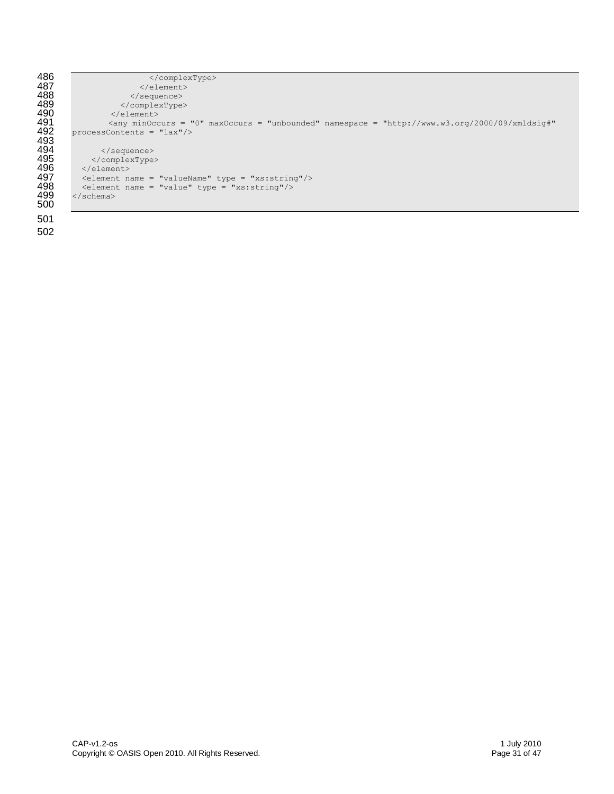| 486 | $\langle$ /complexType>                                                                                                   |
|-----|---------------------------------------------------------------------------------------------------------------------------|
| 487 | $\langle$ /element>                                                                                                       |
| 488 | $\langle$ /sequence>                                                                                                      |
| 489 |                                                                                                                           |
| 490 | $\langle$ /element>                                                                                                       |
| 491 | $\langle \text{any min} \rangle$ minOccurs = "0" maxOccurs = "unbounded" namespace = "http://www.w3.org/2000/09/xmldsig#" |
| 492 | processContents = $"lax"$ />                                                                                              |
| 493 |                                                                                                                           |
| 494 | $\langle$ /sequence>                                                                                                      |
| 495 | $\langle$ /complexType>                                                                                                   |
| 496 | $\langle$ /element>                                                                                                       |
| 497 | $\epsilon$ <element name="valueName" type="xs:string"></element>                                                          |
| 498 | $\epsilon$ <element name="value" type="xs:string"></element>                                                              |
| 499 | $\langle$ /schema $\rangle$                                                                                               |
| 500 |                                                                                                                           |
| 501 |                                                                                                                           |
|     |                                                                                                                           |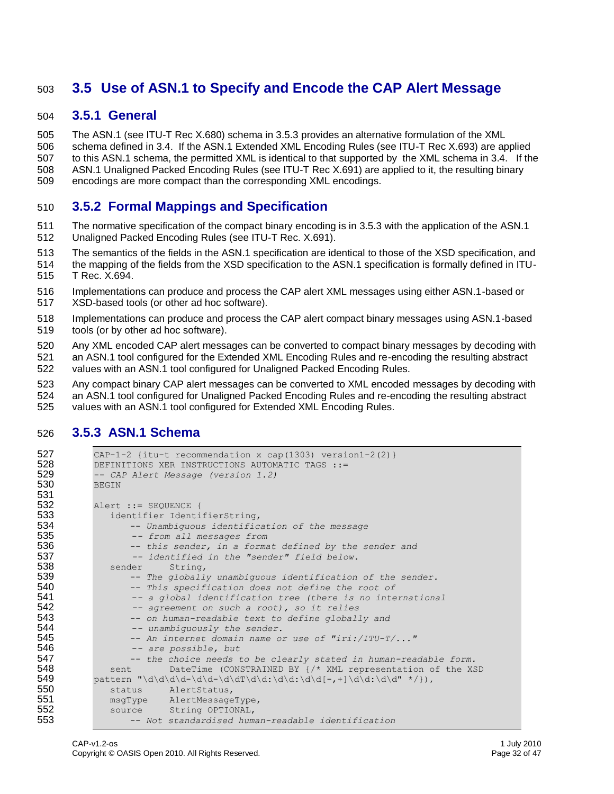### **3.5 Use of ASN.1 to Specify and Encode the CAP Alert Message**

#### **3.5.1 General**

 The ASN.1 (see ITU-T Rec X.680) schema in 3.5.3 provides an alternative formulation of the XML schema defined in 3.4. If the ASN.1 Extended XML Encoding Rules (see ITU-T Rec X.693) are applied to this ASN.1 schema, the permitted XML is identical to that supported by the XML schema in 3.4. If the ASN.1 Unaligned Packed Encoding Rules (see ITU-T Rec X.691) are applied to it, the resulting binary encodings are more compact than the corresponding XML encodings.

#### **3.5.2 Formal Mappings and Specification**

- The normative specification of the compact binary encoding is in 3.5.3 with the application of the ASN.1 Unaligned Packed Encoding Rules (see ITU-T Rec. X.691).
- The semantics of the fields in the ASN.1 specification are identical to those of the XSD specification, and
- the mapping of the fields from the XSD specification to the ASN.1 specification is formally defined in ITU-T Rec. X.694.
- Implementations can produce and process the CAP alert XML messages using either ASN.1-based or
- XSD-based tools (or other ad hoc software).
- Implementations can produce and process the CAP alert compact binary messages using ASN.1-based tools (or by other ad hoc software).
- Any XML encoded CAP alert messages can be converted to compact binary messages by decoding with
- an ASN.1 tool configured for the Extended XML Encoding Rules and re-encoding the resulting abstract
- values with an ASN.1 tool configured for Unaligned Packed Encoding Rules.

 Any compact binary CAP alert messages can be converted to XML encoded messages by decoding with an ASN.1 tool configured for Unaligned Packed Encoding Rules and re-encoding the resulting abstract values with an ASN.1 tool configured for Extended XML Encoding Rules.

#### **3.5.3 ASN.1 Schema**

```
527 CAP-1-2 {itu-t recommendation x cap(1303) version1-2(2)}<br>528 DEFINITIONS XER INSTRUCTIONS AUTOMATIC TAGS ::=
528 DEFINITIONS XER INSTRUCTIONS AUTOMATIC TAGS :=- CAP Alert Message (version 1.2)
529 -- CAP Alert Message (version 1.2)
          BEGIN.
531
532 Alert ::= SEQUENCE {
533 identifier IdentifierString,<br>534 -- Unambiquous identific
534 -- Unambiguous identification of the message 
535 -- from all messages from
536 -- this sender, in a format defined by the sender and 537
537 -- identified in the "sender" field below.<br>538 sender String,
              sender String,
539 -- The globally unambiguous identification of the sender.
540 -- This specification does not define the root of 
541 -- a global identification tree (there is no international 542 -- agreement on such a root), so it relies
542 -- agreement on such a root), so it relies
543 -- on human-readable text to define globally and 544
                  544 -- unambiguously the sender.
545 -- An internet domain name or use of "iri:/ITU-T/..." 
546 -- are possible, but
547 -- the choice needs to be clearly stated in human-readable form.
548 sent DateTime (CONSTRAINED BY \{\frac{\times}{\text{N}}\ representation of the XSD pattern "\d\d\d\d-\d\d-\d\dT\d\d:\d\d:\d\d[-,+1\d\d:\d\d" */}),
           549 pattern "\d\d\d\d-\d\d-\d\dT\d\d:\d\d:\d\d[-,+]\d\d:\d\d" */}),
550 status AlertStatus,
551 msgType AlertMessageType,<br>552 source String OPTIONAL.
             source String OPTIONAL,
553 -- Not standardised human-readable identification
```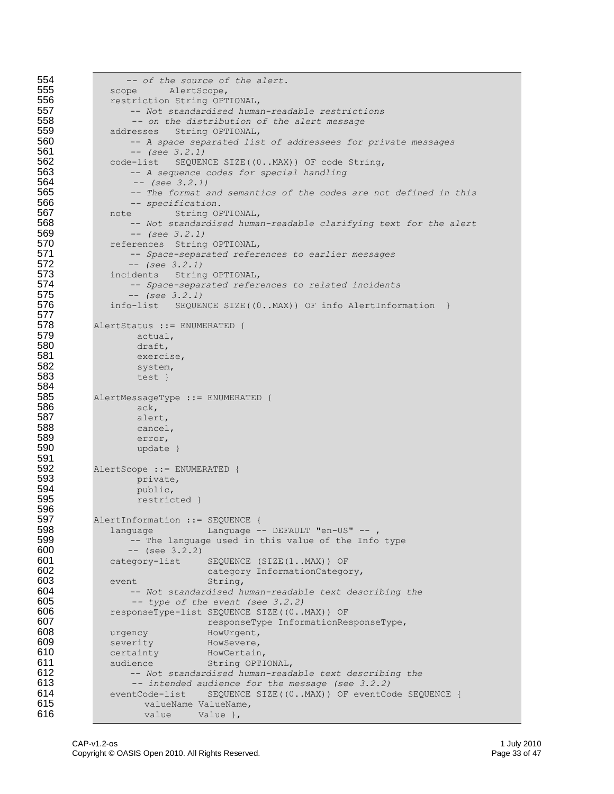```
554 -- of the source of the alert.
             scope AlertScope,
556 restriction String OPTIONAL,<br>557 -- Not standardised huma
557 -- Not standardised human-readable restrictions 
558 -- on the distribution of the alert message
559 addresses String OPTIONAL,<br>560 -- A space separated lis
                  -- A space separated list of addressees for private messages
561 -- (see 3.2.1)
562 code-list SEQUENCE SIZE((0..MAX)) OF code String,<br>563 -- A sequence codes for special handling
                 563 -- A sequence codes for special handling
564 -- (see 3.2.1)
                 565 -- The format and semantics of the codes are not defined in this
566 -- specification.
567 note String OPTIONAL,<br>568 -- Not standardised huma
                 568 -- Not standardised human-readable clarifying text for the alert
569 -- (see 3.2.1)
             references String OPTIONAL,
571 -- Space-separated references to earlier messages
572 -- (see 3.2.1)
             incidents String OPTIONAL,
574 -- Space-separated references to related incidents
                 575 -- (see 3.2.1)
576 info-list SEQUENCE SIZE((0..MAX)) OF info AlertInformation }
577
          AlertStatus ::= ENUMERATED {
579 actual,<br>580 draft,
                  draft.
581 exercise,<br>582 system,
582 system,
                  test }
584
585 AlertMessageType ::= ENUMERATED {<br>586 ack,
                  ack,
587 alert,<br>588 cancel
                  cancel,
589 error,<br>590 update
                  update }
591<br>592
592 AlertScope ::= ENUMERATED {<br>593 private,
                  private,
594 public,<br>595 public, restric
                  restricted }
596<br>597
597 AlertInformation ::= SEQUENCE {<br>598 language Language -
598 language Language -- DEFAULT "en-US" --<br>599 -- The language used in this value of the Info
599 - The language used in this value of the Info type 600
                 -- (see 3.2.2)
601 category-list SEQUENCE (SIZE(1..MAX)) OF<br>
category InformationCatego
602 category InformationCategory,<br>603 event String,
603 event String,<br>604 -- Not standardised ha
604 -- Not standardised human-readable text describing the 
605 -- type of the event (see 3.2.2)
606 responseType-list SEQUENCE SIZE((0..MAX)) OF<br>607
                               responseType InformationResponseType,
608 urgency HowUrgent,
609 severity HowSevere,<br>610 certainty HowCertain
             certainty HowCertain,
611 audience String OPTIONAL,<br>612 -- Not standardised human-read.
612 -- Not standardised human-readable text describing the 
613 -- intended audience for the message (see 3.2.2)<br>614 eventCode-list SEOUENCE SIZE((0..MAX)) OF eventCo
             eventCode-list SEQUENCE SIZE((0..MAX)) OF eventCode SEQUENCE {
615 valueName ValueName,
616 value value Value },
```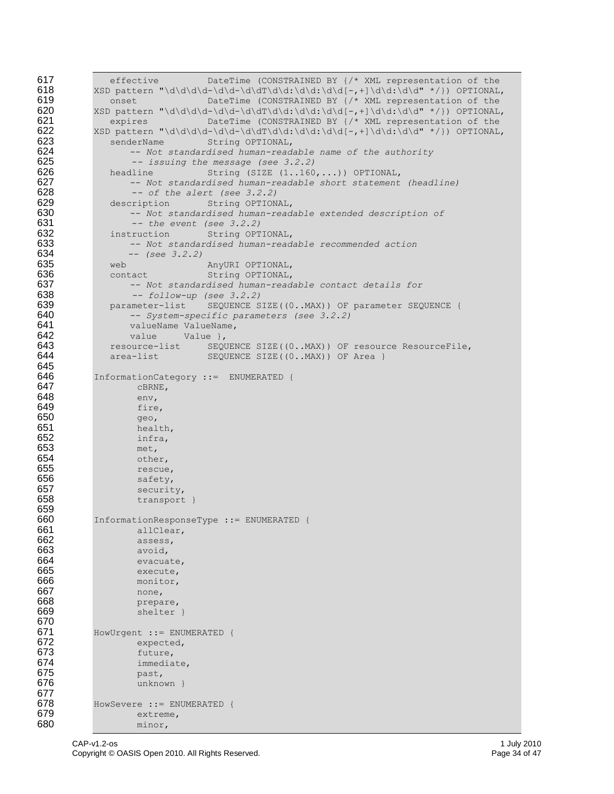```
617 effective DateTime (CONSTRAINED BY \frac{7*}{2} XML representation of the 618 <br>618 SID pattern "\d\d\d\d-\d\d-\d\dT\d\d;\d\d:\d\d:-.+1\d\d:\d\d" */}) OPTIONAL
          618 XSD pattern "\d\d\d\d-\d\d-\d\dT\d\d:\d\d:\d\d[-,+]\d\d:\d\d" */}) OPTIONAL,
619 onset DateTime (CONSTRAINED BY {/* XML representation of the 
620 XSD pattern "\d\d\d\d-\d\d-\d\dT\d\d:\d\d:\d\d[-,+]\d\d:\d\d" */}) OPTIONAL,<br>621 expires DateTime (CONSTRAINED BY {/* XML representation of the
621 expires DateTime (CONSTRAINED BY {/* XML representation of the 
622 XSD pattern "\d\d\d\d-\d\d-\d\dT\d\d:\d\d:\d\d[-,+]\d\d:\d\d" */}) OPTIONAL, 623 senderName String OPTIONAL,
             senderName String OPTIONAL,
624 -- Not standardised human-readable name of the authority 625
625 -- issuing the message (see 3.2.2)
             headline String (SIZE (1..160,...)) OPTIONAL,
627 -- Not standardised human-readable short statement (headline)<br>628 -- of the alert (see 3.2.2)
                 628 -- of the alert (see 3.2.2)
629 description String OPTIONAL,
630 -- Not standardised human-readable extended description of 
                 631 -- the event (see 3.2.2)
632 instruction String OPTIONAL,<br>633 -- Not standardised human-read
                 633 -- Not standardised human-readable recommended action
634 -- (see 3.2.2)
635 web AnyURI OPTIONAL,<br>636 contact String OPTIONAL,
636 636 contact String OPTIONAL,<br>637 -- Not standardised human-read
637 -- Not standardised human-readable contact details for 
638 -- follow-up (see 3.2.2)
639 parameter-list SEQUENCE SIZE((0..MAX)) OF parameter SEQUENCE {<br>640 -- System-specific parameters (see 3.2.2)
640 -- System-specific parameters (see 3.2.2)
641 valueName ValueName,<br>642 value Value },
642 value Value },
             643 resource-list SEQUENCE SIZE((0..MAX)) OF resource ResourceFile,
644 area-list SEQUENCE SIZE((0..MAX)) OF Area }
645<br>646
646 InformationCategory ::= ENUMERATED {
647 cBRNE,<br>648 env,
648 env,<br>649 fire
                  fire,
650 geo,
651 health,<br>652 health,
652 infra,<br>653 met,
653 met,<br>654 othe
654 other,
655 rescue,
                  safety,
657 security,<br>658 transport
                  transport }
659<br>660
660 InformationResponseType ::= ENUMERATED {<br>661 allClear.
661 allClear,<br>662 assess,
662 assess,
                  avoid,
664 evacuate,<br>665 execute,
665 execute,
666 monitor,
667 none,
668 prepare,
                  shelter }
670
671 HowUrgent ::= ENUMERATED {
672 expected,
673 future,<br>674 immedia
674 immediate,
675 past,<br>676 past,
                  unknown }
677
678 HowSevere ::= ENUMERATED {
679 extreme,<br>680 minor,
                  minor,
```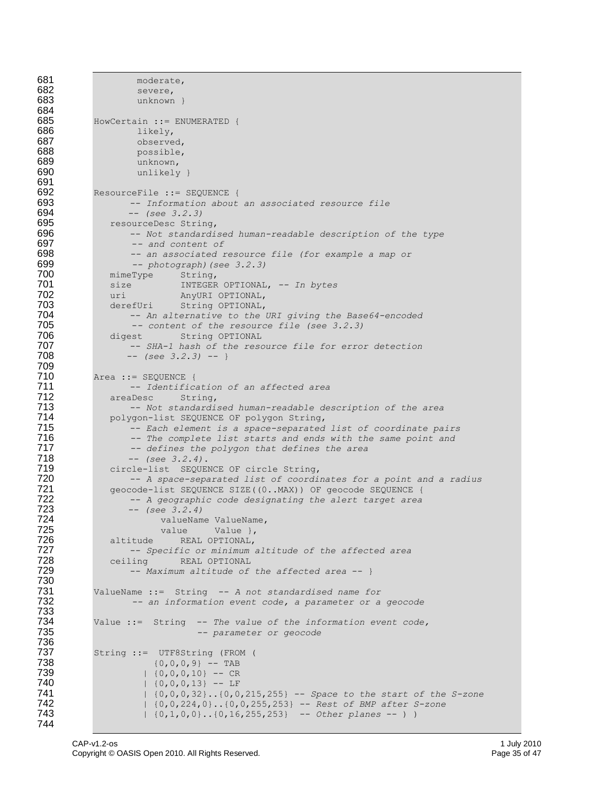```
681 moderate,<br>682 severe.
                 severe,
683 unknown }
684
          HowCertain ::= ENUMERATED {
686 likely,<br>687 observe
                 observed,
688 possible,
689 unknown,
                 unlikely }
691<br>692
          ResourceFile ::= SEQUENCE {
693 -- Information about an associated resource file
694 -- (see 3.2.3)
            resourceDesc String,
696 -- Not standardised human-readable description of the type 
                697 -- and content of
698 -- an associated resource file (for example a map or 
699 -- photograph)(see 3.2.3)
700 mimeType String,<br>701 size INTEGER
701 size INTEGER OPTIONAL, -- In bytes
702 uri AnyURI OPTIONAL, 
703 derefUri String OPTIONAL,
704 -- An alternative to the URI giving the Base64-encoded 
705 -- content of the resource file (see 3.2.3)
706 digest String OPTIONAL<br>707 - SHA-1 hash of the reso
707 -- SHA-1 hash of the resource file for error detection
                708 -- (see 3.2.3) -- }
709
          Area ::= SEQUENCE {
711 -- Identification of an affected area
712 areaDesc<br>713 -- Noi
                713 -- Not standardised human-readable description of the area
714 polygon-list SEQUENCE OF polygon String,<br>715 -- Each element is a space-separated
715 -- Each element is a space-separated list of coordinate pairs
716 -- The complete list starts and ends with the same point and
717 -- defines the polygon that defines the area 
718 -- (see 3.2.4).
719 circle-list SEQUENCE OF circle String,<br>720 -- A space-separated list of coordi
                720 -- A space-separated list of coordinates for a point and a radius
721 geocode-list SEQUENCE SIZE((0..MAX)) OF geocode SEQUENCE {<br>722 -- A geographic code designating the alert target area
                722 -- A geographic code designating the alert target area
723 -- (see 3.2.4)
724 valueName ValueName,
725 value Value },<br>726 altitude REAL OPTIONAL,
726 altitude REAL OPTIONAL,<br>727 - Specific or minimum
727 -- Specific or minimum altitude of the affected area
728 ceiling REAL OPTIONAL<br>729 -- Maximum altitude of
                729 -- Maximum altitude of the affected area -- }
730
731 ValueName ::= String -- A not standardised name for 
                 732 -- an information event code, a parameter or a geocode
733
          734 Value ::= String -- The value of the information event code,
735 -- parameter or geocode
736<br>737
737 String ::= UTF8String (FROM (
738 {0,0,0,9} -- TAB 
739 | {0,0,0,10} -- CR<br>740 | {0,0,0,13} -- LF
740 | {0,0,0,13} -- LF<br>741 | {0,0,0,32}..{0,0}
741 | {0,0,0,32}..{0,0,215,255} -- Space to the start of the S-zone
                   742 | {0,0,224,0}..{0,0,255,253} -- Rest of BMP after S-zone
743 | {0,1,0,0}..{0,16,255,253} -- Other planes -- ) )
744
```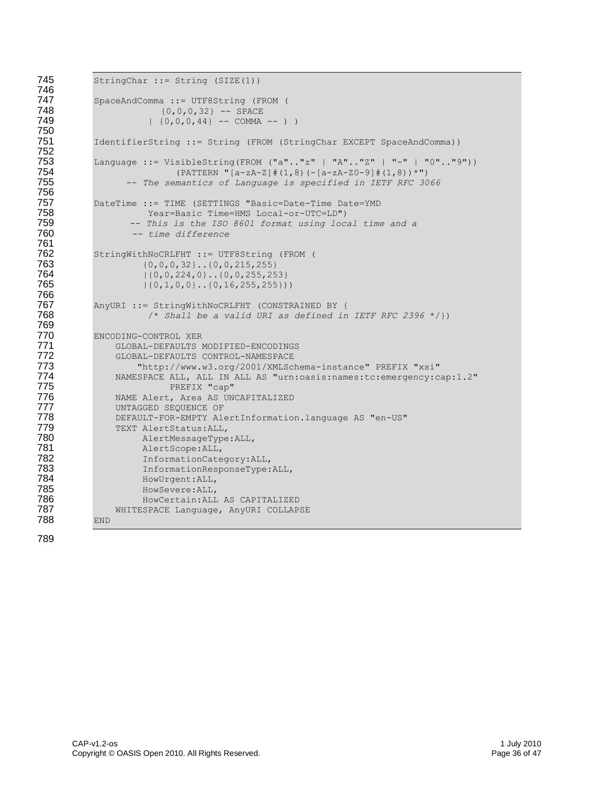```
745 StringChar ::= String (SIZE(1))
746
747 SpaceAndComma ::= UTF8String (FROM (
748 {0,0,0,32} -- SPACE<br>749 {0,0,0,44} -- COMMA
                       (0,0,0,44) -- COMMA -- ) )
750
            751 IdentifierString ::= String (FROM (StringChar EXCEPT SpaceAndComma))
752
753 Language ::= VisibleString(FROM ("a".."z" | "A".."Z" | "-" | "0".."9"))<br>754 (PATTERN "[a-zA-Z]#(1,8)(-[a-zA-Z0-9]#(1,8))*")
754 (PATTERN "[a-zA-Z]#(1,8)(-[a-zA-Z0-9]#(1,8))*")<br>755 – The semantics of Language is specified in IETF RFC 30
                   755 -- The semantics of Language is specified in IETF RFC 3066
756
757 DateTime ::= TIME (SETTINGS "Basic=Date-Time Date=YMD 
758 Year=Basic Time=HMS Local-or-UTC=LD")<br>759 -- This is the ISO 8601 format using local
759 -- This is the ISO 8601 format using local time and a 
                    760 -- time difference
761
762 StringWithNoCRLFHT ::= UTF8String (FROM (<br>763   (0,0,0,32}..(0,0,215,255}
763 (0,0,0,32)...(0,0,215,255)<br>764 (0,0,224,0)...(0,0,255,25)764 |{0,0,224,0}..{0,0,255,253}<br>765 |{0,1,0,0}..{0,16,255,255})
                      (0,1,0,0)...(0,16,255,255))766
767 AnyURI ::= StringWithNoCRLFHT (CONSTRAINED BY {<br>768 /* Shall be a valid URI as defined in
                       768 /* Shall be a valid URI as defined in IETF RFC 2396 */})
769
770 ENCODING-CONTROL XER<br>771 GLOBAL-DEFAULTS
                GLOBAL-DEFAULTS MODIFIED-ENCODINGS
772 GLOBAL-DEFAULTS CONTROL-NAMESPACE
773 "http://www.w3.org/2001/XMLSchema-instance" PREFIX "xsi<br>774 NAMESPACE ALL, ALL IN ALL AS "urn:oasis:names:tc:emergency:c
774 NAMESPACE ALL, ALL IN ALL AS "urn:oasis:names:tc:emergency:cap:1.2"
775 PREFIX "cap"
776 NAME Alert, Area AS UNCAPITALIZED
                UNTAGGED SEQUENCE OF
778 DEFAULT-FOR-EMPTY AlertInformation.language AS "en-US"
779 TEXT AlertStatus:ALL,<br>780 AlertMessageType
780 AlertMessageType:ALL, 
781 AlertScope:ALL, 
782 InformationCategory:ALL,<br>783 InformationResponseType:
783 InformationResponseType:ALL,<br>784 HowUrgent:ALL,
                     HowUrgent: ALL,
785 HowSevere:ALL,<br>786 HowCertain:ALL
                     HowCertain: ALL AS CAPITALIZED
787 WHITESPACE Language, AnyURI COLLAPSE
788 END
```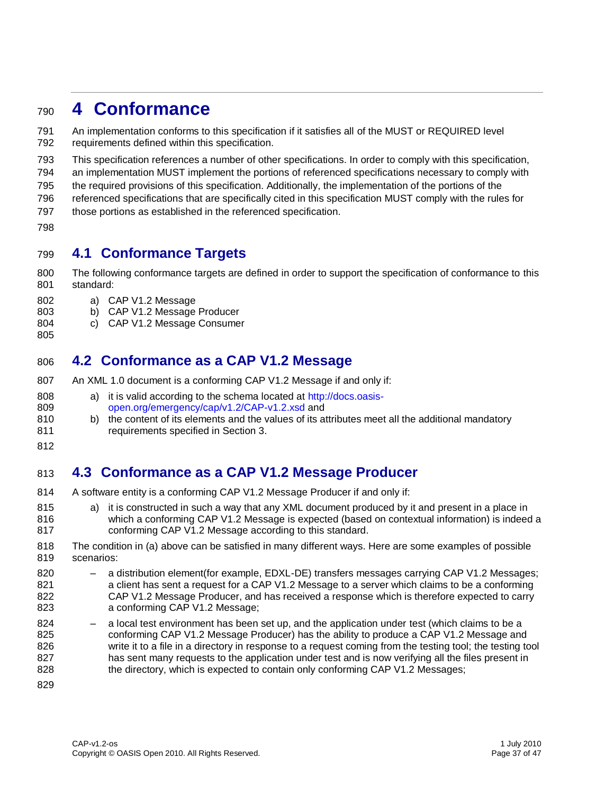## **4 Conformance**

 An implementation conforms to this specification if it satisfies all of the MUST or REQUIRED level requirements defined within this specification.

This specification references a number of other specifications. In order to comply with this specification,

an implementation MUST implement the portions of referenced specifications necessary to comply with

the required provisions of this specification. Additionally, the implementation of the portions of the

referenced specifications that are specifically cited in this specification MUST comply with the rules for

- those portions as established in the referenced specification.
- 

#### **4.1 Conformance Targets**

- The following conformance targets are defined in order to support the specification of conformance to this standard:
- a) CAP V1.2 Message
- b) CAP V1.2 Message Producer
- c) CAP V1.2 Message Consumer

### **4.2 Conformance as a CAP V1.2 Message**

- An XML 1.0 document is a conforming CAP V1.2 Message if and only if:
- a) it is valid according to the schema located at [http://docs.oasis-](http://docs.oasis-open.org/emergency/cap/v1.2/CAP-v1.2.)[open.org/emergency/cap/v1.2/CAP-v1.2.x](http://docs.oasis-open.org/emergency/cap/v1.2/CAP-v1.2.)sd and
- b) the content of its elements and the values of its attributes meet all the additional mandatory
- requirements specified in Section 3.
- 

### **4.3 Conformance as a CAP V1.2 Message Producer**

- A software entity is a conforming CAP V1.2 Message Producer if and only if:
- 815 a) it is constructed in such a way that any XML document produced by it and present in a place in which a conforming CAP V1.2 Message is expected (based on contextual information) is indeed a conforming CAP V1.2 Message according to this standard.
- The condition in (a) above can be satisfied in many different ways. Here are some examples of possible scenarios:
- a distribution element(for example, EDXL-DE) transfers messages carrying CAP V1.2 Messages; a client has sent a request for a CAP V1.2 Message to a server which claims to be a conforming CAP V1.2 Message Producer, and has received a response which is therefore expected to carry a conforming CAP V1.2 Message;
- a local test environment has been set up, and the application under test (which claims to be a conforming CAP V1.2 Message Producer) has the ability to produce a CAP V1.2 Message and write it to a file in a directory in response to a request coming from the testing tool; the testing tool 827 has sent many requests to the application under test and is now verifying all the files present in 828 the directory, which is expected to contain only conforming CAP V1.2 Messages;
-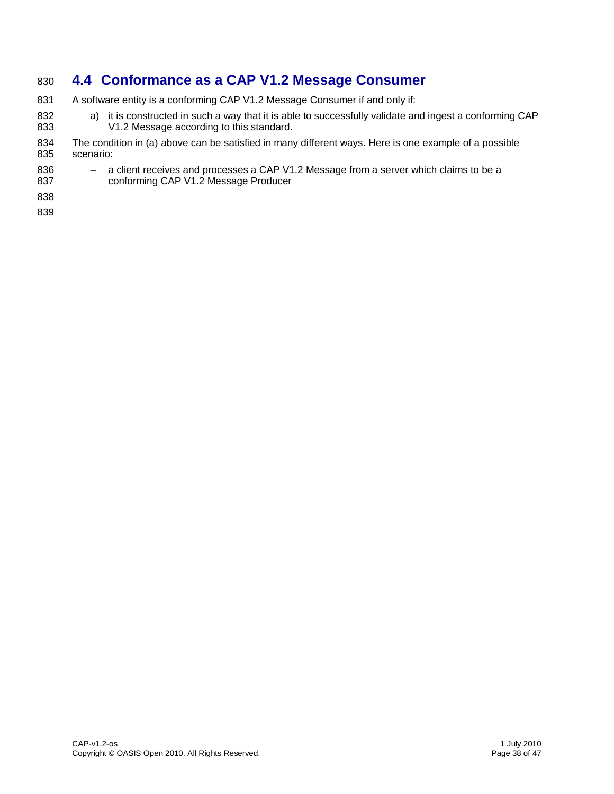### **4.4 Conformance as a CAP V1.2 Message Consumer**

- 831 A software entity is a conforming CAP V1.2 Message Consumer if and only if:
- 832 a) it is constructed in such a way that it is able to successfully validate and ingest a conforming CAP V1.2 Message according to this standard.
- The condition in (a) above can be satisfied in many different ways. Here is one example of a possible scenario:
- a client receives and processes a CAP V1.2 Message from a server which claims to be a
- conforming CAP V1.2 Message Producer
- 
-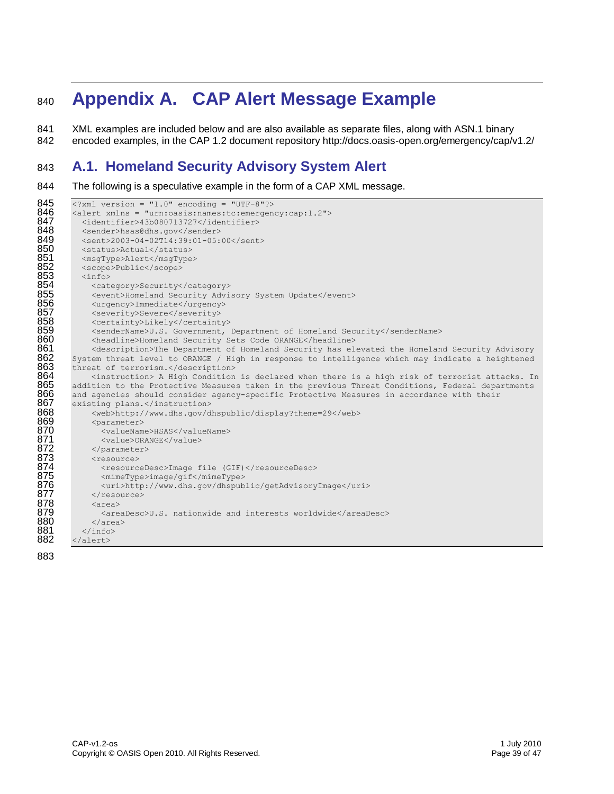# <sup>840</sup> **Appendix A. CAP Alert Message Example**

841 XML examples are included below and are also available as separate files, along with ASN.1 binary 842 encoded examples, in the CAP 1.2 document repository http://docs.oasis-open.org/emergency/cap/v1.2/

### 843 **A.1. Homeland Security Advisory System Alert**

844 The following is a speculative example in the form of a CAP XML message.

```
845 <alert xmlns = "1.0" encoding = "UTF-8"?><br>846 <alert xmlns = "urn:oasis:names:tc:emergen
846 <alert xmlns = "urn:oasis:names:tc:emergency:cap:1.2"><br>847 </alentifier>43b080713727</identifier>
847 <identifier>43b080713727</identifier><br>848 <sender>hsas@dhs.gov</sender>
848 <sender>hsas@dhs.gov</sender><br>849 <sent>2003-04-02T14:39:01-05:
849 <sent>2003-04-02T14:39:01-05:00</sent><br>850 <status>Actual</status>
850 <status>Actual</status><br>851 <msgType>Alert</msgType
851 <msgType>Alert</msgType><br>852 <scope>Public</scope>
852 <scope>Public</scope><br>853 <info>
853 <info><br>854 <cat
854 <category>Security</category><br>855 <went>Homeland Security Advi<br>856 <urgency>Immediate</urgency>
                 <event>Homeland Security Advisory System Update</event>
856 <urgency>Immediate</urgency><br>857 <severity>Severe</severity>
857 <severity>Severe</severity><br>858 <certainty>Likely</certaint
858 <certainty>Likely</certainty> 
859 <senderName>U.S. Government, Department of Homeland Security</senderName><br>860 <headline>Homeland Security Sets Code ORANGE</headline>
860 <headline>Homeland Security Sets Code ORANGE</headline>
861 <description>The Department of Homeland Security has elevated the Homeland Security Advisory<br>862 System threat level to ORANGE / High in response to intelligence which may indicate a heightened
862 System threat level to ORANGE / High in response to intelligence which may indicate a heightened<br>863 threat of terrorism.</description>
863 threat of terrorism.</description><br>864 <instruction> A High Condition
864 \sim <instruction> A High Condition is declared when there is a high risk of terrorist attacks. In 865 addition to the Protective Measures taken in the previous Threat Conditions, Federal departments
865 addition to the Protective Measures taken in the previous Threat Conditions, Federal departments<br>866 and agencies should consider agency-specific Protective Measures in accordance with their
866 and agencies should consider agency-specific Protective Measures in accordance with their 867
867 existing plans.</instruction><br>868 <web>http://www.dhs.gov/dl
868 <web>http://www.dhs.gov/dhspublic/display?theme=29</web>869 <parameter>
869 <parameter><br>870 <valueNameter>
870 <valueName>HSAS</valueName><br>871 <value>ORANGE</value><br>872 </parameter>
                    871 <value>ORANGE</value>
872 </parameter><br>873 <resource><br>874 <resourceD<br>875 <mimeType>
                 873 <resource>
                    874 <resourceDesc>Image file (GIF)</resourceDesc>
875 <mimeType>image/gif</mimeType><br>876 <uri>http://www.dhs.gov/dhspub
876 <uri>http://www.dhs.gov/dhspublic/getAdvisoryImage</uri></resource>
877 </resource><br>878 <area><br>879 <areaDesc
                 878 <area> 
879 <areaDesc>U.S. nationwide and interests worldwide</areaDesc> 
880 </area><br>881 </info>
881 </info><br>882 </alert>
           </alert>
```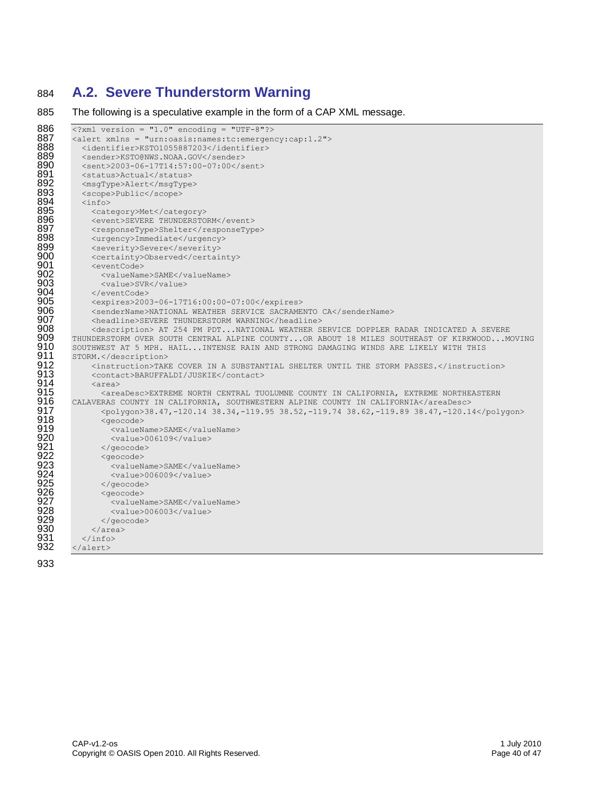### 884 **A.2. Severe Thunderstorm Warning**

885 The following is a speculative example in the form of a CAP XML message.

```
886 <?xml version = "1.0" encoding = "UTF-8"?>
887 <alert xmlns = "urn:oasis:names:tc:emergency:cap:1.2"><br>888 </a> </a></a>dentifier>XST01055887203</identifier>
888 <identifier>KSTO1055887203</identifier><br>889 <sender>KSTO@NWS.NOAA.GOV</sender>
889 <sender>KSTO@NWS.NOAA.GOV</sender>890 <sent>2003-06-17T14:57:00-07:00</s
890 <sent>2003-06-17T14:57:00-07:00</sent><br>891 <status>Actual</status>
891 < status>Actual</ status><br>892 < msqType>Alert</msqType
892 <msgType>Alert</msgType><br>893 <scope>Public</scope>
893 <scope>Public</scope><br>894 <info>
894 <info><br>895 <cat
895             <category>Met</category><br>896              <event>SEVERE THUNDERSTO
896 <event>SEVERE THUNDERSTORM</event><br>897 <responseType>Shelter</responseTyp
897 < responseType>Shelter</responseType><br>898 < urgency>Immediate</urgency>
898 <urgency>Immediate</urgency><br>899 <severity>Severe</severity>
899 <severity>Severe</severity> 
900 <certainty>Observed</certainty><br>901 <eventCode>
901 <eventCode><br>902 <walueNam
902 <valueName>SAME</valueName><br>903 <value>SVR</value>
903 <value>SVR</value><br>904 </eventCode>
904 </eventCode><br>905 <expires>200
905 <expires>2003-06-17T16:00:00-07:00</expires><br>906 <senderName>NATIONAL WEATHER SERVICE SACRAME
906 <senderName>NATIONAL WEATHER SERVICE SACRAMENTO CA</senderName>
907 <headline>SEVERE THUNDERSTORM WARNING</headline>
908              <description> AT 254 PM PDT...NATIONAL WEATHER SERVICE DOPPLER RADAR INDICATED A SEVERE<br>909    THUNDERSTORM OVER SOUTH CENTRAL ALPINE COUNTY...OR ABOUT 18 MILES SOUTHEAST OF KIRKWOOD...M
909 THUNDERSTORM OVER SOUTH CENTRAL ALPINE COUNTY...OR ABOUT 18 MILES SOUTHEAST OF KIRKWOOD...MOVING<br>910 SOUTHWEST AT 5 MPH. HAIL...INTENSE RAIN AND STRONG DAMAGING WINDS ARE LIKELY WITH THIS
910 SOUTHWEST AT 5 MPH. HAIL...INTENSE RAIN AND STRONG DAMAGING WINDS ARE LIKELY WITH THIS 911 STORM.</description>
911 STORM.</description><br>912 <instruction>TAK
912 <instruction>TAKE COVER IN A SUBSTANTIAL SHELTER UNTIL THE STORM PASSES.</instruction><br>913 <contact>BARUFFALDI/JUSKIE</contact>
913 <contact>BARUFFALDI/JUSKIE</contact><br>914 <area>
914 <area><br>915 <area
915 <areaDesc>EXTREME NORTH CENTRAL TUOLUMNE COUNTY IN CALIFORNIA, EXTREME NORTHEASTERN 
916 CALAVERAS COUNTY IN CALIFORNIA, SOUTHWESTERN ALPINE COUNTY IN CALIFORNIA</areaDesc><br>917 Colygon>38.47,-120.14 38.34,-119.95 38.52,-119.74 38.62,-119.89 38.47,-120.1
917 <polygon>38.47,-120.14 38.34,-119.95 38.52,-119.74 38.62,-119.89 38.47,-120.14</polygon>
918 <geocode>
919 <valueName>SAME</valueName><br>920 <value>006109</value><br>921 </geocode>
                       <value>006109</value>
921 </geocode><br>922 <geocode><br>923 <geocode><br>924 <walue>0
                   <geocode>
                      <valueName>SAME</valueName>
924 <value>006009</value><br>925 </aeocode><br>926 <estedda
                   925 </geocode>
926 <geocode><br>927 <walueN
927 <valueName>SAME</valueName><br>928 <value>006003</value>
928 <value>006003</value><br>929 </geocode>
929 \langle/geocode><br>930 \langle/area>
930 \langle \ranglearea><br>931 \langle \rangleinfo>
931 </info><br>932 </alert>
          932 </alert>
```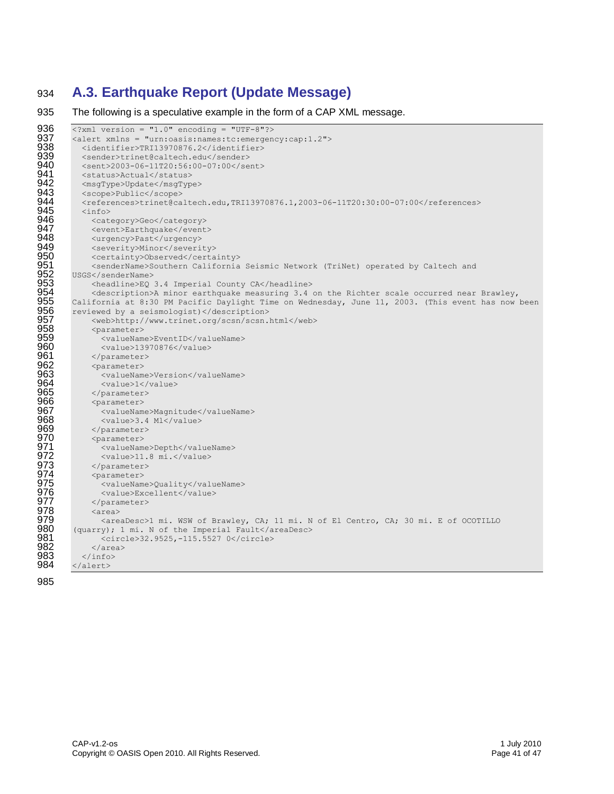### 934 **A.3. Earthquake Report (Update Message)**

935 The following is a speculative example in the form of a CAP XML message.

```
936 \overline{\langle}?xml version = "1.0" encoding = "UTF-8"?><br>937 \langle alert xmlns = "urn:oasis:names:tc:emergen
937 <alert xmlns = "urn:oasis:names:tc:emergency:cap:1.2"><br>938 <dentifier>TRI13970876.2</identifier>
938 <identifier>TRI13970876.2</identifier><br>939 <sender>trinet@caltech.edu</sender>
939 <sender>trinet@caltech.edu</sender><br>940 <sent>2003-06-11T20:56:00-07:00</se
940 <sent>2003-06-11T20:56:00-07:00</sent><br>941 <status>Actual</status>
941 < status>Actual</status><br>942 < msqType>Update</msqTyp
942 <msgType>Update</msgType><br>943 <scope>Public</scope>
943 <scope>Public</scope><br>944 <references>trinet@ca
944 <references>trinet@caltech.edu,TRI13970876.1,2003-06-11T20:30:00-07:00</references><br>945 <info>
945 <info><br>946 <cat
946 <category>Geo</category><br>947 <event>Earthquake</event
947 <event>Earthquake</event><br>948 <urgency>Past</urgency>
948 <urgency>Past</urgency><br>949 <severity>Minor</severi
949 <severity>Minor</severity><br>950 <certainty>Observed</certa
950 <certainty>Observed</certainty><br>951 <senderName>Southern California<br>952 USGS</senderName><br>953 <ceadline>EQ 3.4 Imperial Count
                 951 <senderName>Southern California Seismic Network (TriNet) operated by Caltech and 
           USGS</senderName>
953 <headline>EQ 3.4 Imperial County CA</headline><br>954 <description>A minor earthquake measuring 3.4
954 <description>A minor earthquake measuring 3.4 on the Richter scale occurred near Brawley,<br>955 California at 8:30 PM Pacific Daylight Time on Wednesday, June 11, 2003. (This event has now
955 California at 8:30 PM Pacific Daylight Time on Wednesday, June 11, 2003. (This event has now been 956 reviewed by a seismologist) </description>
956 reviewed by a seismologist)</description><br>957 <web>http://www.trinet.org/scsn/scsn.
957 <web>http://www.trinet.org/scsn/scsn.html</web><br>958 <parameter> <valueName>EventID</valueName>
                 <parameter>
959 <valueName>EventID</valueName>
960 <value>13970876</value><br>961 </parameter>
961 </parameter><br>962 <parameter>
962 <parameter><br>963 <valueNam
963 <valueName>Version</valueName><br>964 <value>1</value>
964 <value>1</value><br>965 </parameter>
965 </parameter><br>966 <parameter>
966 <parameter><br>967 <valueNam<br>968 <value>3.
                    <valueName>Magnitude</valueName>
968 <value>3.4 Ml</value><br>969 </parameter>
969 </parameter><br>970 <parameter>
970 <parameter><br>971 <valueNam
971 <valueName>Depth</valueName><br>972 <value>11.8 mi.</value><br>973 </parameter><br>974 <parameter>
                    <value>11.8 mi.</value>
                 973 </parameter>
974 <parameter><br>975 <walueNam
975 <valueName>Quality</valueName><br>976 <value>Excellent</value><br>977 </parameter>
                    976 <value>Excellent</value>
977 </parameter><br>978 <area>
978 <area><br>979 <area
979 <areaDesc>1 mi. WSW of Brawley, CA; 11 mi. N of El Centro, CA; 30 mi. E of OCOTILLO 
980 (quarry); 1 mi. N of the Imperial Fault</areaDesc><br>981 (circle>32.9525,-115.5527 0</circle>
981 <circle>32.9525,-115.5527 0</circle><br>982 </area>
982 </area><br>983 </info>
983 </info><br>984 </alert>
           984 </alert>
```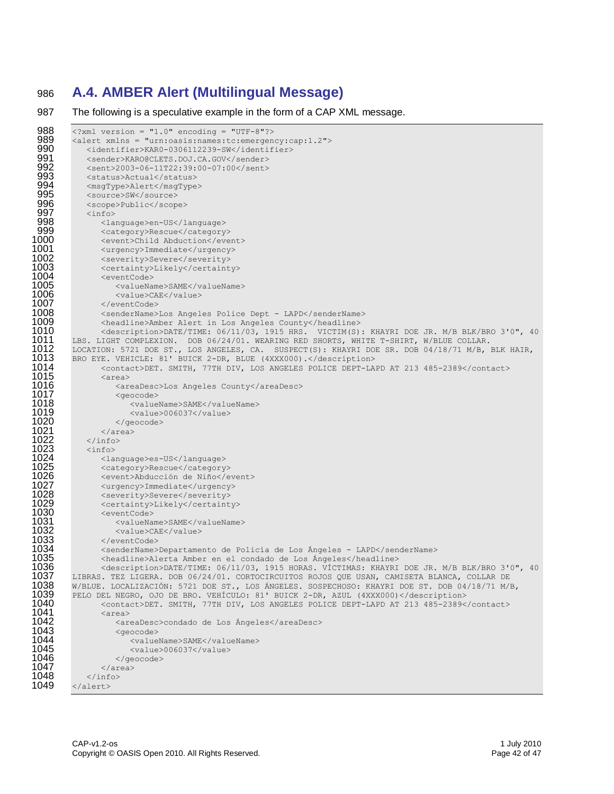### 986 **A.4. AMBER Alert (Multilingual Message)**

987 The following is a speculative example in the form of a CAP XML message.

```
988 <?xml version = "1.0" encoding = "UTF-8"?><br>989 <alert xmlns = "urn:oasis:names:tc:emergen
 989 <alert xmlns = "urn:oasis:names:tc:emergency:cap:1.2"><br>990 <identifier>KAR0-0306112239-SW</identifier>
 990 <identifier>KAR0-0306112239-SW</identifier><br>991 <sender>KARO@CLETS.DOJ.CA.GOV</sender>
 991 <sender>KARO@CLETS.DOJ.CA.GOV</sender> 
 992 <sent>2003-06-11T22:39:00-07:00</sent>
 993 <status>Actual</status><br>994 <msqTvpe>Alert</msqTvpe
 994 < msgType>Alert</msgType><br>995 < source>SW</source>
 995 <source>SW</source><br>996 <scope>Public</scop
 996 <scope>Public</scope><br>997 <info>
 997 <info><br>998 <info>
 998 <language>en-US</language>
999 <category>Rescue</category> 
1000 <event>Child Abduction</event> 
1001 <urgency>Immediate</urgency> 
1002                <severity>Severe</severity><br>1003                  <certaintv>Likelv</certaint
1003 <certainty>Likely</certainty> 
1004 <eventCode>
1005 <valueName>SAME</valueName>
1006 <value>CAE</value><br>1007 </eventCode>
1007 </eventCode>
1008 < senderName>Los Angeles Police Dept - LAPD</senderName><br>1009 < > < < < < < < < < < < Angeles County</headline>
1009 <headline>Amber Alert in Los Angeles County</headline>
1010 <description>DATE/TIME: 06/11/03, 1915 HRS. VICTIM(S): KHAYRI DOE JR. M/B BLK/BRO 3'0", 40<br>1011 LBS. LIGHT COMPLEXION. DOB 06/24/01. WEARING RED SHORTS, WHITE T-SHIRT, W/BLUE COLLAR.
1011 LBS. LIGHT COMPLEXION. DOB 06/24/01. WEARING RED SHORTS, WHITE T-SHIRT, W/BLUE COLLAR.<br>1012   LOCATION: 5721 DOE ST., LOS ANGELES, CA. SUSPECT(S): KHAYRI DOE SR. DOB 04/18/71 M/B,
1012   LOCATION: 5721 DOE ST., LOS ANGELES, CA.  SUSPECT(S): KHAYRI DOE SR. DOB 04/18/71 M/B, BLK HAIR,<br>1013   BRO EYE. VEHICLE: 81' BUICK 2-DR, BLUE (4XXX000).</description>
1013 BRO EYE. VEHICLE: 81' BUICK 2-DR, BLUE (4XXX000).</description>
                   1014 <contact>DET. SMITH, 77TH DIV, LOS ANGELES POLICE DEPT-LAPD AT 213 485-2389</contact> 
1015 <area><br>1016 <area>
1016 <areaDesc>Los Angeles County</areaDesc>
1017 <geocode>
1018 <valueName>SAME</valueName>
1019 <value>006037</value><br>1020 </aeocode>
1020 </geocode><br>1021 </area>
1021 </area><br>1022 </info>
1022 </info><br>1023 <info>
1023 <info><br>1024 <info>
1024 <language>es-US</language><br>1025 <category>Rescue</category
1025              <category>Rescue</category><br>1026                <event>Abducción de Niño</e
1026 <event>Abducción de Niño</event><br>1027 <urgency>Immediate</urgency><br>1028 <severity>Severe</severity>
                   1027 <urgency>Immediate</urgency> 
1028               <severity>Severe</severity><br>1029                 <certaintv>Likelv</certaint
1029 <certainty>Likely</certainty> 
1030 <eventCode>
1031 <valueName>SAME</valueName>
1032 <value>CAE</value>
1033 </eventCode>
1034         <senderName>Departamento de Policía de Los Ángeles - LAPD</senderName><br>1035         <headline>Alerta Amber en el condado de Los Ángeles</headline>
1035 <headline>Alerta Amber en el condado de Los Ángeles</headline>
1036           <description>DATE/TIME: 06/11/03, 1915 HORAS. VÍCTIMAS: KHAYRI DOE JR. M/B BLK/BRO 3'0", 40<br>1037    LIBRAS. TEZ LIGERA. DOB 06/24/01. CORTOCIRCUITOS ROJOS QUE USAN, CAMISETA BLANCA, COLLAR DE
1037 — LIBRAS. TEZ LIGERA. DOB 06/24/01. CORTOCIRCUITOS ROJOS QUE USAN, CAMISETA BLANCA, COLLAR DE<br>1038 — W/BLUE. LOCALIZACIÓN: 5721 DOE ST., LOS ÁNGELES. SOSPECHOSO: KHAYRI DOE ST. DOB 04/18/71 M/F
1038 W/BLUE. LOCALIZACIÓN: 5721 DOE ST., LOS ÁNGELES. SOSPECHOSO: KHAYRI DOE ST. DOB 04/18/71 M/B,<br>1039 PELO DEL NEGRO, OJO DE BRO. VEHÍCULO: 81' BUICK 2-DR, AZUL (4XXX000)</description>
1039 PELO DEL NEGRO, OJO DE BRO. VEHÍCULO: 81' BUICK 2-DR, AZUL (4XXX000)</description>
1040 <contact>DET. SMITH, 77TH DIV, LOS ANGELES POLICE DEPT-LAPD AT 213 485-2389</contact><br>1041 <area>
1041 <area><br>1042 <area
1042 <areaDesc>condado de Los Ángeles</areaDesc>
1043 <geocode>
1044 <valueName>SAME</valueName><br>1045 <value>006037</value>
1045 <value>006037</value><br>1046 </aeocode>
1046 </geocode>
1047 </area><br>1048 </info>
1048 </info><br>1049 </alert>
           \langlealert>
```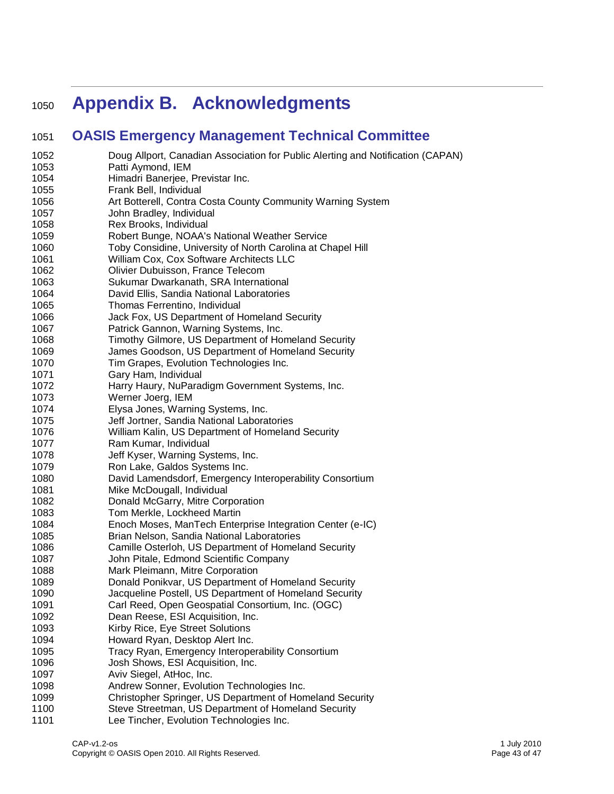# **Appendix B. Acknowledgments**

### **OASIS Emergency Management Technical Committee**

| 1052 | Doug Allport, Canadian Association for Public Alerting and Notification (CAPAN)                             |
|------|-------------------------------------------------------------------------------------------------------------|
| 1053 | Patti Aymond, IEM                                                                                           |
| 1054 | Himadri Banerjee, Previstar Inc.                                                                            |
| 1055 | Frank Bell, Individual                                                                                      |
| 1056 | Art Botterell, Contra Costa County Community Warning System                                                 |
| 1057 | John Bradley, Individual                                                                                    |
| 1058 | Rex Brooks, Individual                                                                                      |
| 1059 | Robert Bunge, NOAA's National Weather Service                                                               |
| 1060 | Toby Considine, University of North Carolina at Chapel Hill                                                 |
| 1061 | William Cox, Cox Software Architects LLC                                                                    |
| 1062 | Olivier Dubuisson, France Telecom                                                                           |
| 1063 | Sukumar Dwarkanath, SRA International                                                                       |
| 1064 | David Ellis, Sandia National Laboratories                                                                   |
| 1065 | Thomas Ferrentino, Individual                                                                               |
| 1066 | Jack Fox, US Department of Homeland Security                                                                |
| 1067 | Patrick Gannon, Warning Systems, Inc.                                                                       |
| 1068 | Timothy Gilmore, US Department of Homeland Security                                                         |
| 1069 | James Goodson, US Department of Homeland Security                                                           |
| 1070 | Tim Grapes, Evolution Technologies Inc.                                                                     |
| 1071 | Gary Ham, Individual                                                                                        |
| 1072 | Harry Haury, NuParadigm Government Systems, Inc.                                                            |
| 1073 | Werner Joerg, IEM                                                                                           |
| 1074 | Elysa Jones, Warning Systems, Inc.                                                                          |
| 1075 | Jeff Jortner, Sandia National Laboratories                                                                  |
| 1076 | William Kalin, US Department of Homeland Security                                                           |
| 1077 | Ram Kumar, Individual                                                                                       |
| 1078 | Jeff Kyser, Warning Systems, Inc.                                                                           |
| 1079 | Ron Lake, Galdos Systems Inc.                                                                               |
| 1080 | David Lamendsdorf, Emergency Interoperability Consortium                                                    |
| 1081 | Mike McDougall, Individual                                                                                  |
| 1082 | Donald McGarry, Mitre Corporation                                                                           |
| 1083 | Tom Merkle, Lockheed Martin                                                                                 |
| 1084 | Enoch Moses, ManTech Enterprise Integration Center (e-IC)                                                   |
| 1085 | Brian Nelson, Sandia National Laboratories                                                                  |
| 1086 | Camille Osterloh, US Department of Homeland Security                                                        |
| 1087 | John Pitale, Edmond Scientific Company                                                                      |
| 1088 | Mark Pleimann, Mitre Corporation                                                                            |
| 1089 | Donald Ponikvar, US Department of Homeland Security                                                         |
| 1090 |                                                                                                             |
|      | Jacqueline Postell, US Department of Homeland Security<br>Carl Reed, Open Geospatial Consortium, Inc. (OGC) |
| 1091 |                                                                                                             |
| 1092 | Dean Reese, ESI Acquisition, Inc.                                                                           |
| 1093 | Kirby Rice, Eye Street Solutions                                                                            |
| 1094 | Howard Ryan, Desktop Alert Inc.                                                                             |
| 1095 | Tracy Ryan, Emergency Interoperability Consortium                                                           |
| 1096 | Josh Shows, ESI Acquisition, Inc.                                                                           |
| 1097 | Aviv Siegel, AtHoc, Inc.                                                                                    |
| 1098 | Andrew Sonner, Evolution Technologies Inc.                                                                  |
| 1099 | Christopher Springer, US Department of Homeland Security                                                    |
| 1100 | Steve Streetman, US Department of Homeland Security                                                         |
| 1101 | Lee Tincher, Evolution Technologies Inc.                                                                    |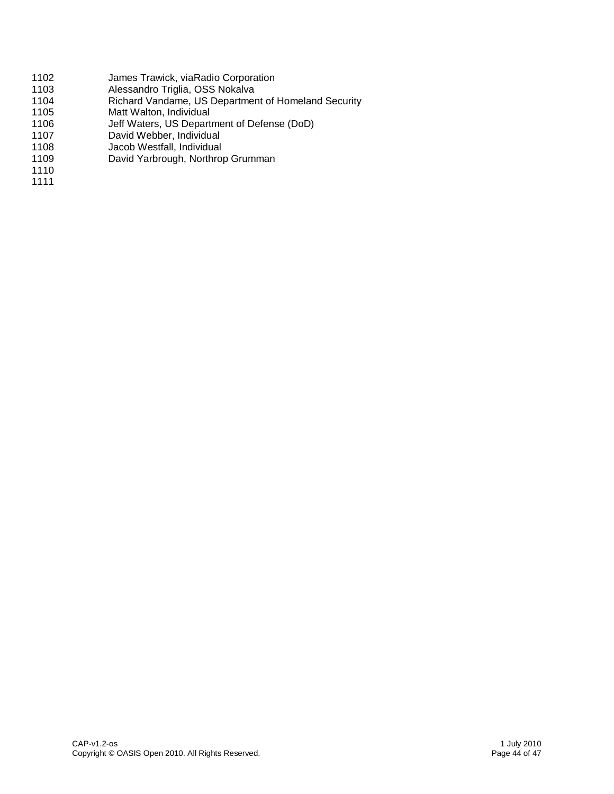- 1102 James Trawick, viaRadio Corporation<br>1103 Alessandro Triglia, OSS Nokalva
- 1103 Alessandro Triglia, OSS Nokalva<br>1104 Richard Vandame. US Departmer
- 1104 Richard Vandame, US Department of Homeland Security<br>1105 Matt Walton, Individual
- Matt Walton, Individual
- 1106 Jeff Waters, US Department of Defense (DoD)
- 1107 David Webber, Individual<br>1108 Jacob Westfall, Individual
- Jacob Westfall, Individual
- 1109 David Yarbrough, Northrop Grumman
- 1110 1111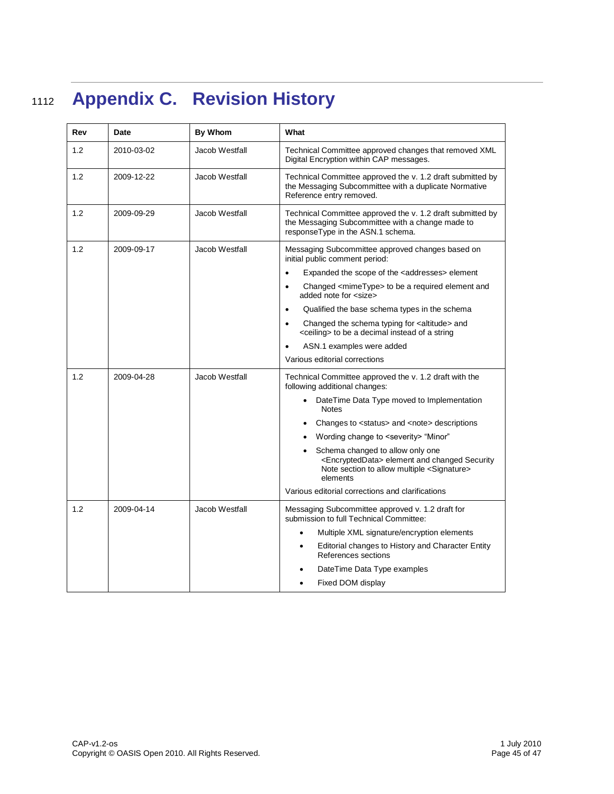# <sup>1112</sup> **Appendix C. Revision History**

| Rev | Date       | By Whom        | What                                                                                                                                                                     |
|-----|------------|----------------|--------------------------------------------------------------------------------------------------------------------------------------------------------------------------|
| 1.2 | 2010-03-02 | Jacob Westfall | Technical Committee approved changes that removed XML<br>Digital Encryption within CAP messages.                                                                         |
| 1.2 | 2009-12-22 | Jacob Westfall | Technical Committee approved the v. 1.2 draft submitted by<br>the Messaging Subcommittee with a duplicate Normative<br>Reference entry removed.                          |
| 1.2 | 2009-09-29 | Jacob Westfall | Technical Committee approved the v. 1.2 draft submitted by<br>the Messaging Subcommittee with a change made to<br>responseType in the ASN.1 schema.                      |
| 1.2 | 2009-09-17 | Jacob Westfall | Messaging Subcommittee approved changes based on<br>initial public comment period:                                                                                       |
|     |            |                | Expanded the scope of the <addresses> element<br/><math>\bullet</math></addresses>                                                                                       |
|     |            |                | Changed <mimetype> to be a required element and<br/><math display="inline">\bullet</math><br/>added note for <size></size></mimetype>                                    |
|     |            |                | Qualified the base schema types in the schema<br>$\bullet$                                                                                                               |
|     |            |                | Changed the schema typing for <altitude> and<br/><math display="inline">\bullet</math><br/><ceiling> to be a decimal instead of a string</ceiling></altitude>            |
|     |            |                | ASN.1 examples were added                                                                                                                                                |
|     |            |                | Various editorial corrections                                                                                                                                            |
| 1.2 | 2009-04-28 | Jacob Westfall | Technical Committee approved the v. 1.2 draft with the<br>following additional changes:                                                                                  |
|     |            |                | DateTime Data Type moved to Implementation<br><b>Notes</b>                                                                                                               |
|     |            |                | Changes to <status> and <note> descriptions</note></status>                                                                                                              |
|     |            |                | Wording change to <severity> "Minor"</severity>                                                                                                                          |
|     |            |                | Schema changed to allow only one<br><encrypteddata> element and changed Security<br/>Note section to allow multiple <signature><br/>elements</signature></encrypteddata> |
|     |            |                | Various editorial corrections and clarifications                                                                                                                         |
| 1.2 | 2009-04-14 | Jacob Westfall | Messaging Subcommittee approved v. 1.2 draft for<br>submission to full Technical Committee:                                                                              |
|     |            |                | Multiple XML signature/encryption elements<br>$\bullet$                                                                                                                  |
|     |            |                | Editorial changes to History and Character Entity<br>٠<br>References sections                                                                                            |
|     |            |                | DateTime Data Type examples                                                                                                                                              |
|     |            |                | Fixed DOM display                                                                                                                                                        |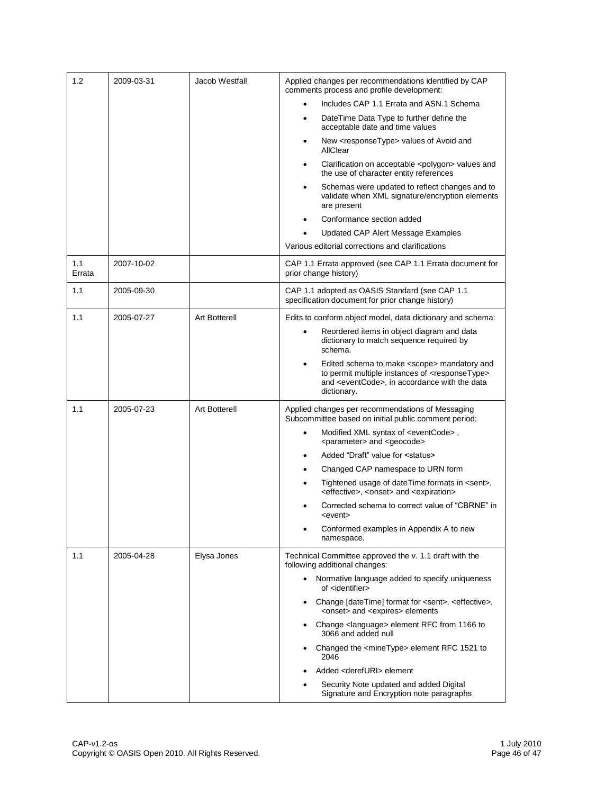| 1.2           | 2009-03-31 | Jacob Westfall       | Applied changes per recommendations identified by CAP<br>comments process and profile development:                                                                                                       |
|---------------|------------|----------------------|----------------------------------------------------------------------------------------------------------------------------------------------------------------------------------------------------------|
|               |            |                      | Includes CAP 1.1 Errata and ASN.1 Schema                                                                                                                                                                 |
|               |            |                      | DateTime Data Type to further define the<br>$\bullet$<br>acceptable date and time values                                                                                                                 |
|               |            |                      | New <responsetype> values of Avoid and<br/>٠<br/>AllClear</responsetype>                                                                                                                                 |
|               |            |                      | Clarification on acceptable <polygon> values and<br/>٠<br/>the use of character entity references</polygon>                                                                                              |
|               |            |                      | Schemas were updated to reflect changes and to<br>٠<br>validate when XML signature/encryption elements<br>are present                                                                                    |
|               |            |                      | Conformance section added                                                                                                                                                                                |
|               |            |                      | Updated CAP Alert Message Examples                                                                                                                                                                       |
|               |            |                      | Various editorial corrections and clarifications                                                                                                                                                         |
| 1.1<br>Errata | 2007-10-02 |                      | CAP 1.1 Errata approved (see CAP 1.1 Errata document for<br>prior change history)                                                                                                                        |
| 1.1           | 2005-09-30 |                      | CAP 1.1 adopted as OASIS Standard (see CAP 1.1<br>specification document for prior change history)                                                                                                       |
| 1.1           | 2005-07-27 | <b>Art Botterell</b> | Edits to conform object model, data dictionary and schema:                                                                                                                                               |
|               |            |                      | Reordered items in object diagram and data<br>dictionary to match sequence required by<br>schema.                                                                                                        |
|               |            |                      | Edited schema to make <scope> mandatory and<br/>٠<br/>to permit multiple instances of <responsetype><br/>and <eventcode>, in accordance with the data<br/>dictionary.</eventcode></responsetype></scope> |
| 1.1           | 2005-07-23 | <b>Art Botterell</b> | Applied changes per recommendations of Messaging<br>Subcommittee based on initial public comment period:                                                                                                 |
|               |            |                      | Modified XML syntax of <eventcode>,<br/><math>\bullet</math><br/><parameter> and <geocode></geocode></parameter></eventcode>                                                                             |
|               |            |                      | Added "Draft" value for <status><br/><math>\bullet</math></status>                                                                                                                                       |
|               |            |                      | Changed CAP namespace to URN form<br>٠                                                                                                                                                                   |
|               |            |                      | Tightened usage of dateTime formats in <sent>,<br/>٠<br/><effective>, <onset> and <expiration></expiration></onset></effective></sent>                                                                   |
|               |            |                      | Corrected schema to correct value of "CBRNE" in<br><event></event>                                                                                                                                       |
|               |            |                      | Conformed examples in Appendix A to new<br>namespace.                                                                                                                                                    |
| 1.1           | 2005-04-28 | Elysa Jones          | Technical Committee approved the v. 1.1 draft with the<br>following additional changes:                                                                                                                  |
|               |            |                      | • Normative language added to specify uniqueness<br>of <identifier></identifier>                                                                                                                         |
|               |            |                      | Change [dateTime] format for <sent>, <effective>,<br/><onset> and <expires> elements</expires></onset></effective></sent>                                                                                |
|               |            |                      | Change <language> element RFC from 1166 to<br/><math display="inline">\bullet</math><br/>3066 and added null</language>                                                                                  |
|               |            |                      | Changed the <minetype> element RFC 1521 to<br/>2046</minetype>                                                                                                                                           |
|               |            |                      | Added <derefuri> element</derefuri>                                                                                                                                                                      |
|               |            |                      | Security Note updated and added Digital<br>Signature and Encryption note paragraphs                                                                                                                      |